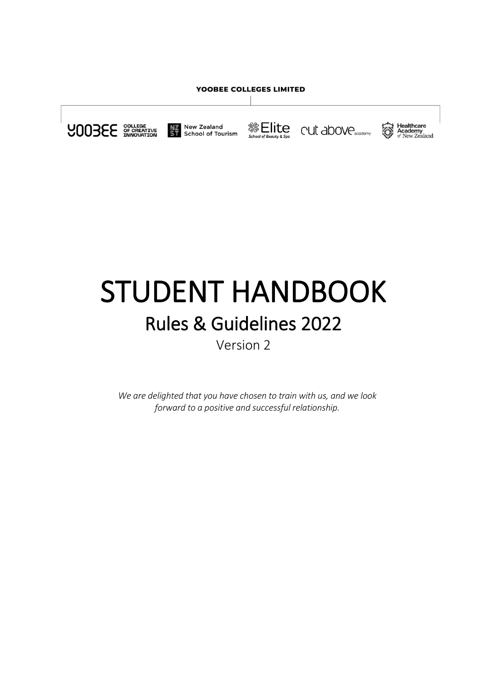#### YOOBEE COLLEGES LIMITED





**Elite** 





# STUDENT HANDBOOK Rules & Guidelines 2022 Version 2

*We are delighted that you have chosen to train with us, and we look forward to a positive and successful relationship.*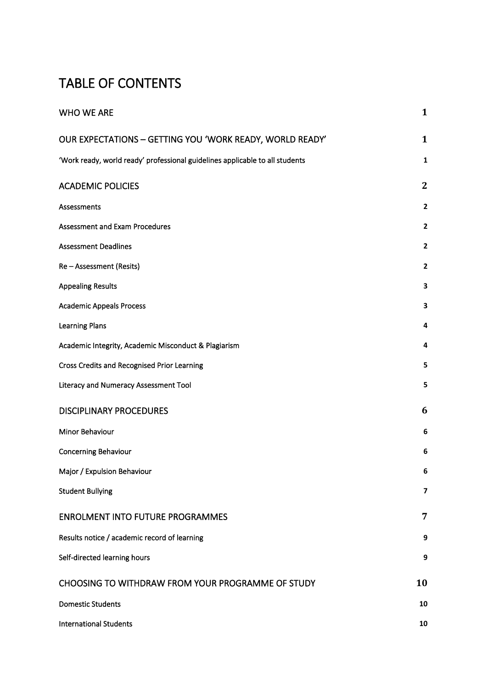# TABLE OF CONTENTS

| <b>WHO WE ARE</b>                                                            | $\mathbf{1}$            |
|------------------------------------------------------------------------------|-------------------------|
| OUR EXPECTATIONS - GETTING YOU 'WORK READY, WORLD READY'                     | $\mathbf{1}$            |
| 'Work ready, world ready' professional guidelines applicable to all students | $\mathbf{1}$            |
| <b>ACADEMIC POLICIES</b>                                                     | $\mathbf{2}$            |
| Assessments                                                                  | $\overline{\mathbf{2}}$ |
| <b>Assessment and Exam Procedures</b>                                        | $\overline{\mathbf{c}}$ |
| <b>Assessment Deadlines</b>                                                  | $\overline{\mathbf{2}}$ |
| Re - Assessment (Resits)                                                     | $\overline{\mathbf{2}}$ |
| <b>Appealing Results</b>                                                     | 3                       |
| <b>Academic Appeals Process</b>                                              | 3                       |
| <b>Learning Plans</b>                                                        | 4                       |
| Academic Integrity, Academic Misconduct & Plagiarism                         | 4                       |
| Cross Credits and Recognised Prior Learning                                  | 5                       |
| Literacy and Numeracy Assessment Tool                                        | 5                       |
| <b>DISCIPLINARY PROCEDURES</b>                                               | 6                       |
| Minor Behaviour                                                              | 6                       |
| <b>Concerning Behaviour</b>                                                  | 6                       |
| Major / Expulsion Behaviour                                                  | 6                       |
| <b>Student Bullying</b>                                                      | 7                       |
| <b>ENROLMENT INTO FUTURE PROGRAMMES</b>                                      | 7                       |
| Results notice / academic record of learning                                 | 9                       |
| Self-directed learning hours                                                 | 9                       |
| CHOOSING TO WITHDRAW FROM YOUR PROGRAMME OF STUDY                            | 10                      |
| <b>Domestic Students</b>                                                     | 10                      |
| <b>International Students</b>                                                | 10                      |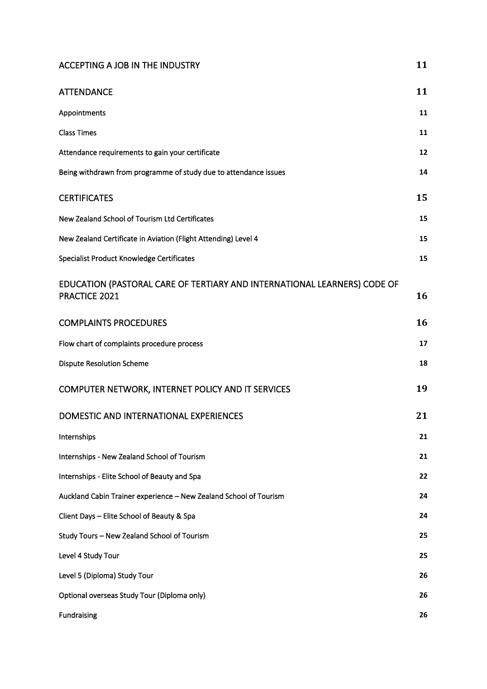# [ACCEPTING A JOB IN THE INDUSTRY](#page-17-0) **[11](#page-17-0)**

| <b>ATTENDANCE</b>                                                                         | 11 |
|-------------------------------------------------------------------------------------------|----|
| Appointments                                                                              | 11 |
| <b>Class Times</b>                                                                        | 11 |
| Attendance requirements to gain your certificate                                          | 12 |
| Being withdrawn from programme of study due to attendance issues                          | 14 |
| <b>CERTIFICATES</b>                                                                       | 15 |
| New Zealand School of Tourism Ltd Certificates                                            | 15 |
| New Zealand Certificate in Aviation (Flight Attending) Level 4                            | 15 |
| Specialist Product Knowledge Certificates                                                 | 15 |
| EDUCATION (PASTORAL CARE OF TERTIARY AND INTERNATIONAL LEARNERS) CODE OF<br>PRACTICE 2021 | 16 |
| <b>COMPLAINTS PROCEDURES</b>                                                              | 16 |
| Flow chart of complaints procedure process                                                | 17 |
| <b>Dispute Resolution Scheme</b>                                                          | 18 |
| COMPUTER NETWORK, INTERNET POLICY AND IT SERVICES                                         | 19 |
| DOMESTIC AND INTERNATIONAL EXPERIENCES                                                    | 21 |
| Internships                                                                               | 21 |
| Internships - New Zealand School of Tourism                                               | 21 |
| Internships - Elite School of Beauty and Spa                                              | 22 |
| Auckland Cabin Trainer experience - New Zealand School of Tourism                         | 24 |
| Client Days - Elite School of Beauty & Spa                                                | 24 |
| Study Tours - New Zealand School of Tourism                                               | 25 |
| Level 4 Study Tour                                                                        | 25 |
| Level 5 (Diploma) Study Tour                                                              | 26 |
| Optional overseas Study Tour (Diploma only)                                               | 26 |
| Fundraising                                                                               | 26 |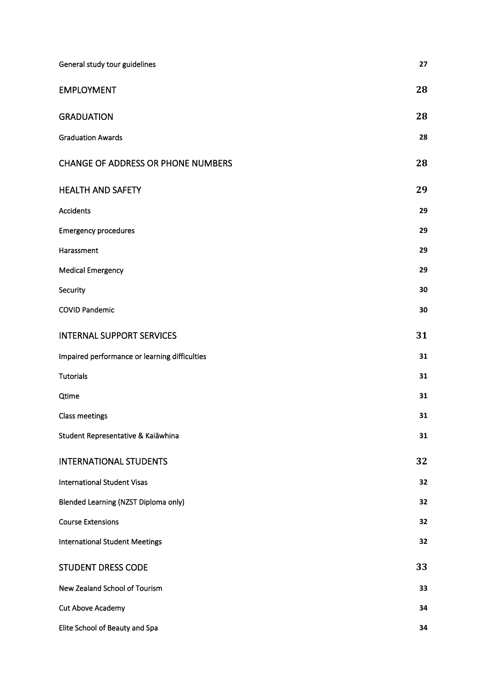| General study tour guidelines                 | 27 |
|-----------------------------------------------|----|
| <b>EMPLOYMENT</b>                             | 28 |
| <b>GRADUATION</b>                             | 28 |
| <b>Graduation Awards</b>                      | 28 |
| <b>CHANGE OF ADDRESS OR PHONE NUMBERS</b>     | 28 |
| <b>HEALTH AND SAFETY</b>                      | 29 |
| Accidents                                     | 29 |
| <b>Emergency procedures</b>                   | 29 |
| Harassment                                    | 29 |
| <b>Medical Emergency</b>                      | 29 |
| Security                                      | 30 |
| <b>COVID Pandemic</b>                         | 30 |
| <b>INTERNAL SUPPORT SERVICES</b>              | 31 |
| Impaired performance or learning difficulties | 31 |
| <b>Tutorials</b>                              | 31 |
| Qtime                                         | 31 |
| <b>Class meetings</b>                         | 31 |
| Student Representative & Kaiāwhina            | 31 |
| <b>INTERNATIONAL STUDENTS</b>                 | 32 |
| <b>International Student Visas</b>            | 32 |
| Blended Learning (NZST Diploma only)          | 32 |
| <b>Course Extensions</b>                      | 32 |
| <b>International Student Meetings</b>         | 32 |
| <b>STUDENT DRESS CODE</b>                     | 33 |
| New Zealand School of Tourism                 | 33 |
| Cut Above Academy                             | 34 |
| Elite School of Beauty and Spa                | 34 |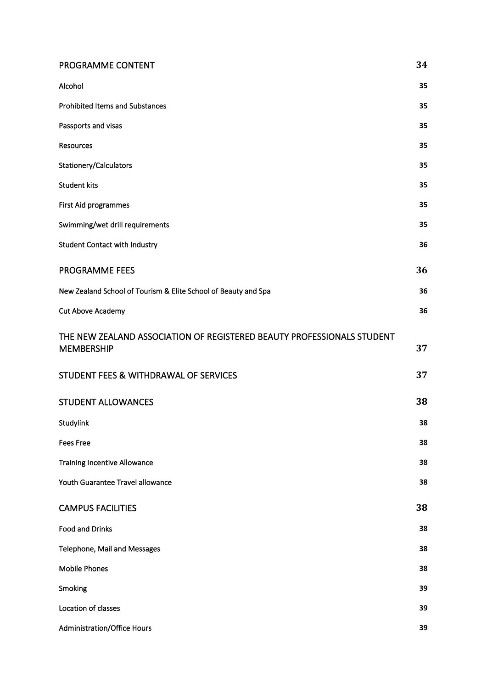| PROGRAMME CONTENT                                                                           | 34 |
|---------------------------------------------------------------------------------------------|----|
| Alcohol                                                                                     | 35 |
| <b>Prohibited Items and Substances</b>                                                      | 35 |
| Passports and visas                                                                         | 35 |
| <b>Resources</b>                                                                            | 35 |
| Stationery/Calculators                                                                      | 35 |
| <b>Student kits</b>                                                                         | 35 |
| First Aid programmes                                                                        | 35 |
| Swimming/wet drill requirements                                                             | 35 |
| <b>Student Contact with Industry</b>                                                        | 36 |
| PROGRAMME FEES                                                                              | 36 |
| New Zealand School of Tourism & Elite School of Beauty and Spa                              | 36 |
| Cut Above Academy                                                                           | 36 |
| THE NEW ZEALAND ASSOCIATION OF REGISTERED BEAUTY PROFESSIONALS STUDENT<br><b>MEMBERSHIP</b> | 37 |
| STUDENT FEES & WITHDRAWAL OF SERVICES                                                       | 37 |
| <b>STUDENT ALLOWANCES</b>                                                                   | 38 |
| Studylink                                                                                   | 38 |
| <b>Fees Free</b>                                                                            | 38 |
| <b>Training Incentive Allowance</b>                                                         | 38 |
| Youth Guarantee Travel allowance                                                            | 38 |
| <b>CAMPUS FACILITIES</b>                                                                    | 38 |
| <b>Food and Drinks</b>                                                                      | 38 |
| Telephone, Mail and Messages                                                                | 38 |
| <b>Mobile Phones</b>                                                                        | 38 |
| Smoking                                                                                     | 39 |
| Location of classes                                                                         | 39 |
| Administration/Office Hours                                                                 | 39 |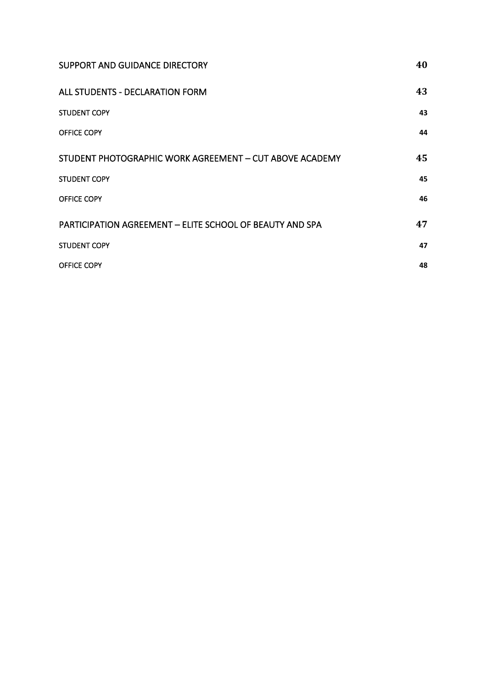| SUPPORT AND GUIDANCE DIRECTORY                                  | 40 |
|-----------------------------------------------------------------|----|
| ALL STUDENTS - DECLARATION FORM                                 | 43 |
| <b>STUDENT COPY</b>                                             | 43 |
| OFFICE COPY                                                     | 44 |
| STUDENT PHOTOGRAPHIC WORK AGREEMENT - CUT ABOVE ACADEMY         | 45 |
| <b>STUDENT COPY</b>                                             | 45 |
| OFFICE COPY                                                     | 46 |
| <b>PARTICIPATION AGREEMENT - ELITE SCHOOL OF BEAUTY AND SPA</b> | 47 |
| <b>STUDENT COPY</b>                                             | 47 |
| OFFICE COPY                                                     | 48 |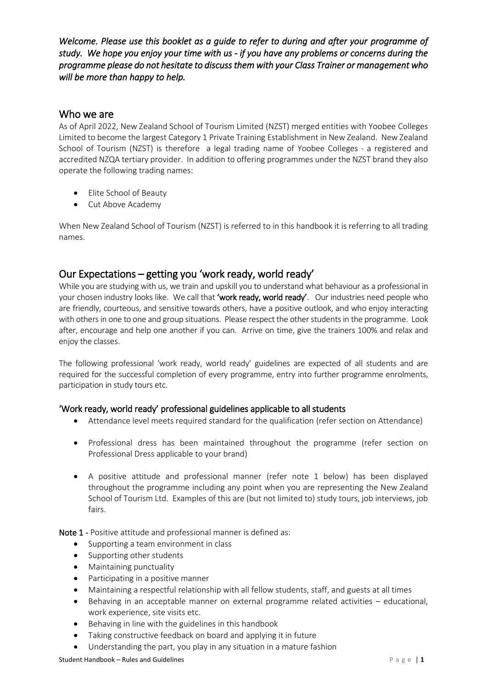*Welcome. Please use this booklet as a guide to refer to during and after your programme of study. We hope you enjoy your time with us - if you have any problems or concerns during the programme please do not hesitate to discuss them with your Class Trainer or management who will be more than happy to help.* 

# <span id="page-7-0"></span>Who we are

As of April 2022, New Zealand School of Tourism Limited (NZST) merged entities with Yoobee Colleges Limited to become the largest Category 1 Private Training Establishment in New Zealand. New Zealand School of Tourism (NZST) is therefore a legal trading name of Yoobee Colleges - a registered and accredited NZQA tertiary provider. In addition to offering programmes under the NZST brand they also operate the following trading names:

- Elite School of Beauty
- Cut Above Academy

When New Zealand School of Tourism (NZST) is referred to in this handbook it is referring to all trading names.

# <span id="page-7-1"></span>Our Expectations – getting you 'work ready, world ready'

While you are studying with us, we train and upskill you to understand what behaviour as a professional in your chosen industry looks like. We call that 'work ready, world ready'. Our industries need people who are friendly, courteous, and sensitive towards others, have a positive outlook, and who enjoy interacting with others in one to one and group situations. Please respect the other students in the programme. Look after, encourage and help one another if you can. Arrive on time, give the trainers 100% and relax and enjoy the classes.

The following professional 'work ready, world ready' guidelines are expected of all students and are required for the successful completion of every programme, entry into further programme enrolments, participation in study tours etc.

# <span id="page-7-2"></span>'Work ready, world ready' professional guidelines applicable to all students

- Attendance level meets required standard for the qualification (refer section on Attendance)
- Professional dress has been maintained throughout the programme (refer section on Professional Dress applicable to your brand)
- A positive attitude and professional manner (refer note 1 below) has been displayed throughout the programme including any point when you are representing the New Zealand School of Tourism Ltd. Examples of this are (but not limited to) study tours, job interviews, job fairs.

Note 1 - Positive attitude and professional manner is defined as:

- Supporting a team environment in class
- Supporting other students
- Maintaining punctuality
- Participating in a positive manner
- Maintaining a respectful relationship with all fellow students, staff, and guests at all times
- Behaving in an acceptable manner on external programme related activities educational, work experience, site visits etc.
- Behaving in line with the guidelines in this handbook
- Taking constructive feedback on board and applying it in future
- Understanding the part, you play in any situation in a mature fashion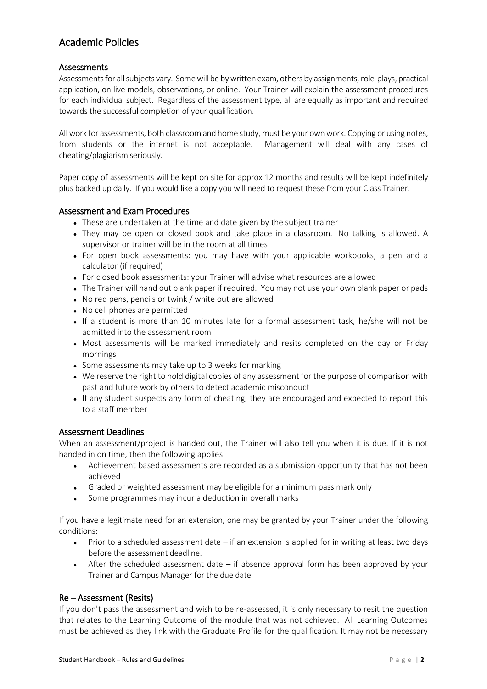# <span id="page-8-0"></span>Academic Policies

# <span id="page-8-1"></span>**Assessments**

Assessments for all subjects vary. Some will be by written exam, others by assignments, role-plays, practical application, on live models, observations, or online. Your Trainer will explain the assessment procedures for each individual subject. Regardless of the assessment type, all are equally as important and required towards the successful completion of your qualification.

All work for assessments, both classroom and home study, must be your own work. Copying or using notes, from students or the internet is not acceptable. Management will deal with any cases of cheating/plagiarism seriously.

Paper copy of assessments will be kept on site for approx 12 months and results will be kept indefinitely plus backed up daily. If you would like a copy you will need to request these from your Class Trainer.

#### <span id="page-8-2"></span>Assessment and Exam Procedures

- These are undertaken at the time and date given by the subject trainer
- They may be open or closed book and take place in a classroom. No talking is allowed. A supervisor or trainer will be in the room at all times
- For open book assessments: you may have with your applicable workbooks, a pen and a calculator (if required)
- For closed book assessments: your Trainer will advise what resources are allowed
- The Trainer will hand out blank paper if required. You may not use your own blank paper or pads
- No red pens, pencils or twink / white out are allowed
- No cell phones are permitted
- If a student is more than 10 minutes late for a formal assessment task, he/she will not be admitted into the assessment room
- Most assessments will be marked immediately and resits completed on the day or Friday mornings
- Some assessments may take up to 3 weeks for marking
- We reserve the right to hold digital copies of any assessment for the purpose of comparison with past and future work by others to detect academic misconduct
- If any student suspects any form of cheating, they are encouraged and expected to report this to a staff member

#### <span id="page-8-3"></span>Assessment Deadlines

When an assessment/project is handed out, the Trainer will also tell you when it is due. If it is not handed in on time, then the following applies:

- Achievement based assessments are recorded as a submission opportunity that has not been achieved
- Graded or weighted assessment may be eligible for a minimum pass mark only
- Some programmes may incur a deduction in overall marks

If you have a legitimate need for an extension, one may be granted by your Trainer under the following conditions:

- Prior to a scheduled assessment date if an extension is applied for in writing at least two days before the assessment deadline.
- After the scheduled assessment date if absence approval form has been approved by your Trainer and Campus Manager for the due date.

# <span id="page-8-4"></span>Re – Assessment (Resits)

If you don't pass the assessment and wish to be re-assessed, it is only necessary to resit the question that relates to the Learning Outcome of the module that was not achieved. All Learning Outcomes must be achieved as they link with the Graduate Profile for the qualification. It may not be necessary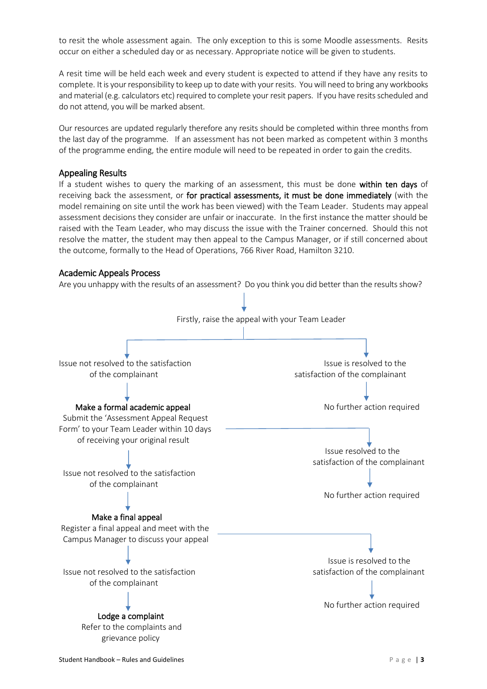to resit the whole assessment again. The only exception to this is some Moodle assessments. Resits occur on either a scheduled day or as necessary. Appropriate notice will be given to students.

A resit time will be held each week and every student is expected to attend if they have any resits to complete. It is your responsibility to keep up to date with your resits. You will need to bring any workbooks and material (e.g. calculators etc) required to complete your resit papers. If you have resits scheduled and do not attend, you will be marked absent.

Our resources are updated regularly therefore any resits should be completed within three months from the last day of the programme. If an assessment has not been marked as competent within 3 months of the programme ending, the entire module will need to be repeated in order to gain the credits.

#### <span id="page-9-0"></span>Appealing Results

If a student wishes to query the marking of an assessment, this must be done within ten days of receiving back the assessment, or for practical assessments, it must be done immediately (with the model remaining on site until the work has been viewed) with the Team Leader. Students may appeal assessment decisions they consider are unfair or inaccurate. In the first instance the matter should be raised with the Team Leader, who may discuss the issue with the Trainer concerned. Should this not resolve the matter, the student may then appeal to the Campus Manager, or if still concerned about the outcome, formally to the Head of Operations, 766 River Road, Hamilton 3210.

#### <span id="page-9-1"></span>Academic Appeals Process

Are you unhappy with the results of an assessment? Do you think you did better than the results show?

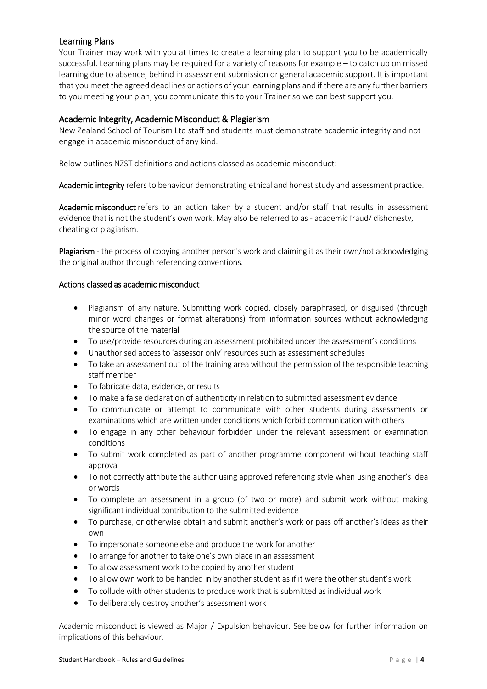# <span id="page-10-0"></span>Learning Plans

Your Trainer may work with you at times to create a learning plan to support you to be academically successful. Learning plans may be required for a variety of reasons for example – to catch up on missed learning due to absence, behind in assessment submission or general academic support. It is important that you meet the agreed deadlines or actions of your learning plans and if there are any further barriers to you meeting your plan, you communicate this to your Trainer so we can best support you.

# <span id="page-10-1"></span>Academic Integrity, Academic Misconduct & Plagiarism

New Zealand School of Tourism Ltd staff and students must demonstrate academic integrity and not engage in academic misconduct of any kind.

Below outlines NZST definitions and actions classed as academic misconduct:

Academic integrity refers to behaviour demonstrating ethical and honest study and assessment practice.

Academic misconduct refers to an action taken by a student and/or staff that results in assessment evidence that is not the student's own work. May also be referred to as - academic fraud/ dishonesty, cheating or plagiarism.

Plagiarism - the process of copying another person's work and claiming it as their own/not acknowledging the original author through referencing conventions.

#### Actions classed as academic misconduct

- Plagiarism of any nature. Submitting work copied, closely paraphrased, or disguised (through minor word changes or format alterations) from information sources without acknowledging the source of the material
- To use/provide resources during an assessment prohibited under the assessment's conditions
- Unauthorised access to 'assessor only' resources such as assessment schedules
- To take an assessment out of the training area without the permission of the responsible teaching staff member
- To fabricate data, evidence, or results
- To make a false declaration of authenticity in relation to submitted assessment evidence
- To communicate or attempt to communicate with other students during assessments or examinations which are written under conditions which forbid communication with others
- To engage in any other behaviour forbidden under the relevant assessment or examination conditions
- To submit work completed as part of another programme component without teaching staff approval
- To not correctly attribute the author using approved referencing style when using another's idea or words
- To complete an assessment in a group (of two or more) and submit work without making significant individual contribution to the submitted evidence
- To purchase, or otherwise obtain and submit another's work or pass off another's ideas as their own
- To impersonate someone else and produce the work for another
- To arrange for another to take one's own place in an assessment
- To allow assessment work to be copied by another student
- To allow own work to be handed in by another student as if it were the other student's work
- To collude with other students to produce work that is submitted as individual work
- To deliberately destroy another's assessment work

Academic misconduct is viewed as Major / Expulsion behaviour. See below for further information on implications of this behaviour.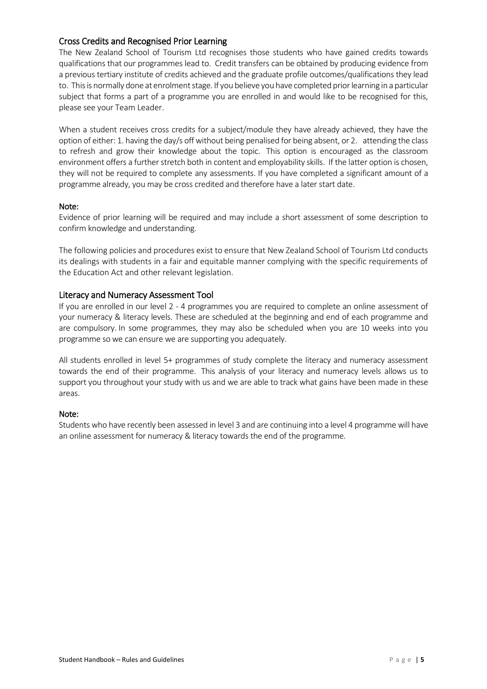# <span id="page-11-0"></span>Cross Credits and Recognised Prior Learning

The New Zealand School of Tourism Ltd recognises those students who have gained credits towards qualifications that our programmes lead to. Credit transfers can be obtained by producing evidence from a previous tertiary institute of credits achieved and the graduate profile outcomes/qualifications they lead to. This is normally done at enrolment stage. If you believe you have completed priorlearning in a particular subject that forms a part of a programme you are enrolled in and would like to be recognised for this, please see your Team Leader.

When a student receives cross credits for a subject/module they have already achieved, they have the option of either: 1. having the day/s off without being penalised for being absent, or 2. attending the class to refresh and grow their knowledge about the topic. This option is encouraged as the classroom environment offers a further stretch both in content and employability skills. If the latter option is chosen, they will not be required to complete any assessments. If you have completed a significant amount of a programme already, you may be cross credited and therefore have a later start date.

#### Note:

Evidence of prior learning will be required and may include a short assessment of some description to confirm knowledge and understanding.

The following policies and procedures exist to ensure that New Zealand School of Tourism Ltd conducts its dealings with students in a fair and equitable manner complying with the specific requirements of the Education Act and other relevant legislation.

#### <span id="page-11-1"></span>Literacy and Numeracy Assessment Tool

If you are enrolled in our level 2 - 4 programmes you are required to complete an online assessment of your numeracy & literacy levels. These are scheduled at the beginning and end of each programme and are compulsory. In some programmes, they may also be scheduled when you are 10 weeks into you programme so we can ensure we are supporting you adequately.

All students enrolled in level 5+ programmes of study complete the literacy and numeracy assessment towards the end of their programme. This analysis of your literacy and numeracy levels allows us to support you throughout your study with us and we are able to track what gains have been made in these areas.

#### Note:

Students who have recently been assessed in level 3 and are continuing into a level 4 programme will have an online assessment for numeracy & literacy towards the end of the programme.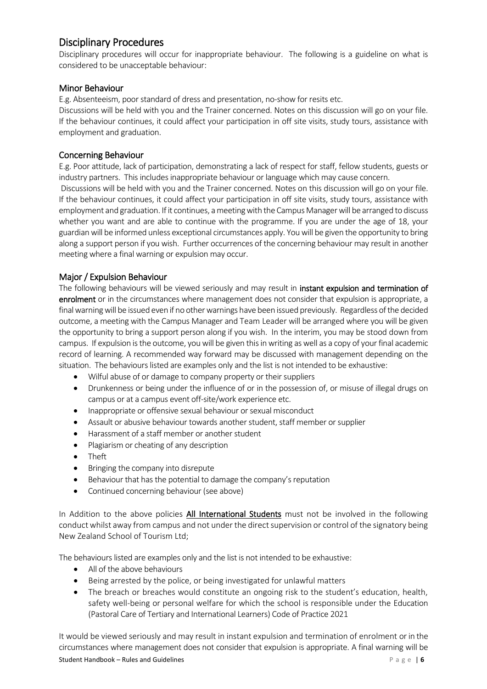# <span id="page-12-0"></span>Disciplinary Procedures

Disciplinary procedures will occur for inappropriate behaviour. The following is a guideline on what is considered to be unacceptable behaviour:

# <span id="page-12-1"></span>Minor Behaviour

E.g. Absenteeism, poor standard of dress and presentation, no-show for resits etc.

Discussions will be held with you and the Trainer concerned. Notes on this discussion will go on your file. If the behaviour continues, it could affect your participation in off site visits, study tours, assistance with employment and graduation.

# <span id="page-12-2"></span>Concerning Behaviour

E.g. Poor attitude, lack of participation, demonstrating a lack of respect for staff, fellow students, guests or industry partners. This includes inappropriate behaviour or language which may cause concern.

Discussions will be held with you and the Trainer concerned. Notes on this discussion will go on your file. If the behaviour continues, it could affect your participation in off site visits, study tours, assistance with employment and graduation. If it continues, a meeting with the Campus Manager will be arranged to discuss whether you want and are able to continue with the programme. If you are under the age of 18, your guardian will be informed unless exceptional circumstances apply. You will be given the opportunity to bring along a support person if you wish. Further occurrences of the concerning behaviour may result in another meeting where a final warning or expulsion may occur.

# <span id="page-12-3"></span>Major / Expulsion Behaviour

The following behaviours will be viewed seriously and may result in instant expulsion and termination of enrolment or in the circumstances where management does not consider that expulsion is appropriate, a final warning will be issued even if no other warnings have been issued previously. Regardless of the decided outcome, a meeting with the Campus Manager and Team Leader will be arranged where you will be given the opportunity to bring a support person along if you wish. In the interim, you may be stood down from campus. If expulsion is the outcome, you will be given this in writing as well as a copy of your final academic record of learning. A recommended way forward may be discussed with management depending on the situation. The behaviours listed are examples only and the list is not intended to be exhaustive:

- Wilful abuse of or damage to company property or their suppliers
- Drunkenness or being under the influence of or in the possession of, or misuse of illegal drugs on campus or at a campus event off-site/work experience etc.
- Inappropriate or offensive sexual behaviour or sexual misconduct
- Assault or abusive behaviour towards another student, staff member or supplier
- Harassment of a staff member or another student
- Plagiarism or cheating of any description
- Theft
- Bringing the company into disrepute
- Behaviour that has the potential to damage the company's reputation
- Continued concerning behaviour (see above)

In Addition to the above policies All International Students must not be involved in the following conduct whilst away from campus and not under the direct supervision or control of the signatory being New Zealand School of Tourism Ltd;

The behaviours listed are examples only and the list is not intended to be exhaustive:

- All of the above behaviours
- Being arrested by the police, or being investigated for unlawful matters
- The breach or breaches would constitute an ongoing risk to the student's education, health, safety well-being or personal welfare for which the school is responsible under the Education (Pastoral Care of Tertiary and International Learners) Code of Practice 2021

Student Handbook – Rules and Guidelines **Particle 2018** Page | 6 It would be viewed seriously and may result in instant expulsion and termination of enrolment or in the circumstances where management does not consider that expulsion is appropriate. A final warning will be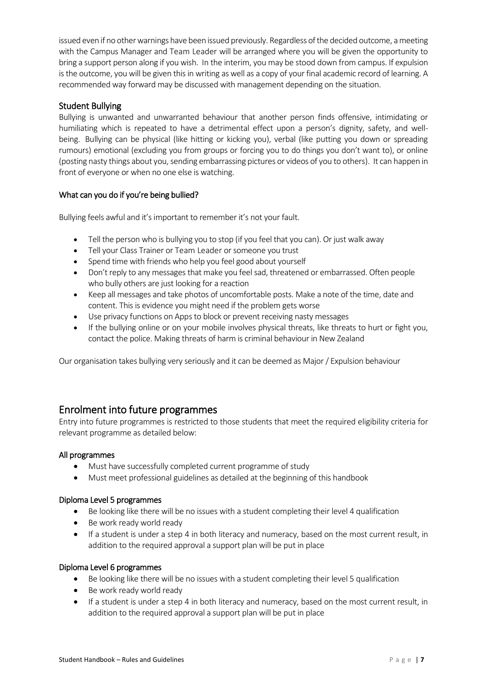issued even if no other warnings have been issued previously. Regardless of the decided outcome, a meeting with the Campus Manager and Team Leader will be arranged where you will be given the opportunity to bring a support person along if you wish. In the interim, you may be stood down from campus. If expulsion is the outcome, you will be given this in writing as well as a copy of your final academic record of learning. A recommended way forward may be discussed with management depending on the situation.

# <span id="page-13-0"></span>Student Bullying

Bullying is unwanted and unwarranted behaviour that another person finds offensive, intimidating or humiliating which is repeated to have a detrimental effect upon a person's dignity, safety, and wellbeing. Bullying can be physical (like hitting or kicking you), verbal (like putting you down or spreading rumours) emotional (excluding you from groups or forcing you to do things you don't want to), or online (posting nasty things about you, sending embarrassing pictures or videos of you to others). It can happen in front of everyone or when no one else is watching.

# What can you do if you're being bullied?

Bullying feels awful and it's important to remember it's not your fault.

- Tell the person who is bullying you to stop (if you feel that you can). Or just walk away
- Tell your Class Trainer or Team Leader or someone you trust
- Spend time with friends who help you feel good about yourself
- Don't reply to any messages that make you feel sad, threatened or embarrassed. Often people who bully others are just looking for a reaction
- Keep all messages and take photos of uncomfortable posts. Make a note of the time, date and content. This is evidence you might need if the problem gets worse
- Use privacy functions on Apps to block or prevent receiving nasty messages
- If the bullying online or on your mobile involves physical threats, like threats to hurt or fight you, contact the police. Making threats of harm is criminal behaviour in New Zealand

Our organisation takes bullying very seriously and it can be deemed as Major / Expulsion behaviour

# <span id="page-13-1"></span>Enrolment into future programmes

Entry into future programmes is restricted to those students that meet the required eligibility criteria for relevant programme as detailed below:

#### All programmes

- Must have successfully completed current programme of study
- Must meet professional guidelines as detailed at the beginning of this handbook

#### Diploma Level 5 programmes

- Be looking like there will be no issues with a student completing their level 4 qualification
- Be work ready world ready
- If a student is under a step 4 in both literacy and numeracy, based on the most current result, in addition to the required approval a support plan will be put in place

#### Diploma Level 6 programmes

- Be looking like there will be no issues with a student completing their level 5 qualification
- Be work ready world ready
- If a student is under a step 4 in both literacy and numeracy, based on the most current result, in addition to the required approval a support plan will be put in place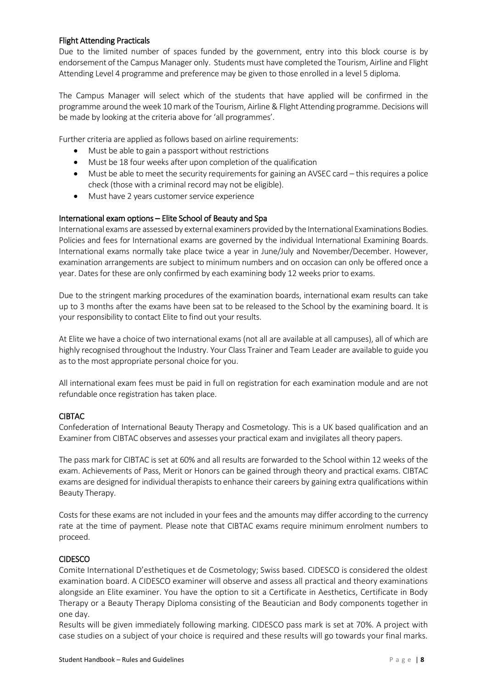#### Flight Attending Practicals

Due to the limited number of spaces funded by the government, entry into this block course is by endorsement of the Campus Manager only. Students must have completed the Tourism, Airline and Flight Attending Level 4 programme and preference may be given to those enrolled in a level 5 diploma.

The Campus Manager will select which of the students that have applied will be confirmed in the programme around the week 10 mark of the Tourism, Airline & Flight Attending programme. Decisions will be made by looking at the criteria above for 'all programmes'.

Further criteria are applied as follows based on airline requirements:

- Must be able to gain a passport without restrictions
- Must be 18 four weeks after upon completion of the qualification
- Must be able to meet the security requirements for gaining an AVSEC card this requires a police check (those with a criminal record may not be eligible).
- Must have 2 years customer service experience

#### International exam options – Elite School of Beauty and Spa

International exams are assessed by external examiners provided by the International Examinations Bodies. Policies and fees for International exams are governed by the individual International Examining Boards. International exams normally take place twice a year in June/July and November/December. However, examination arrangements are subject to minimum numbers and on occasion can only be offered once a year. Dates for these are only confirmed by each examining body 12 weeks prior to exams.

Due to the stringent marking procedures of the examination boards, international exam results can take up to 3 months after the exams have been sat to be released to the School by the examining board. It is your responsibility to contact Elite to find out your results.

At Elite we have a choice of two international exams (not all are available at all campuses), all of which are highly recognised throughout the Industry. Your Class Trainer and Team Leader are available to guide you as to the most appropriate personal choice for you.

All international exam fees must be paid in full on registration for each examination module and are not refundable once registration has taken place.

#### CIBTAC

Confederation of International Beauty Therapy and Cosmetology. This is a UK based qualification and an Examiner from CIBTAC observes and assesses your practical exam and invigilates all theory papers.

The pass mark for CIBTAC is set at 60% and all results are forwarded to the School within 12 weeks of the exam. Achievements of Pass, Merit or Honors can be gained through theory and practical exams. CIBTAC exams are designed for individual therapists to enhance their careers by gaining extra qualifications within Beauty Therapy.

Costs for these exams are not included in your fees and the amounts may differ according to the currency rate at the time of payment. Please note that CIBTAC exams require minimum enrolment numbers to proceed.

# CIDESCO

Comite International D'esthetiques et de Cosmetology; Swiss based. CIDESCO is considered the oldest examination board. A CIDESCO examiner will observe and assess all practical and theory examinations alongside an Elite examiner. You have the option to sit a Certificate in Aesthetics, Certificate in Body Therapy or a Beauty Therapy Diploma consisting of the Beautician and Body components together in one day.

Results will be given immediately following marking. CIDESCO pass mark is set at 70%. A project with case studies on a subject of your choice is required and these results will go towards your final marks.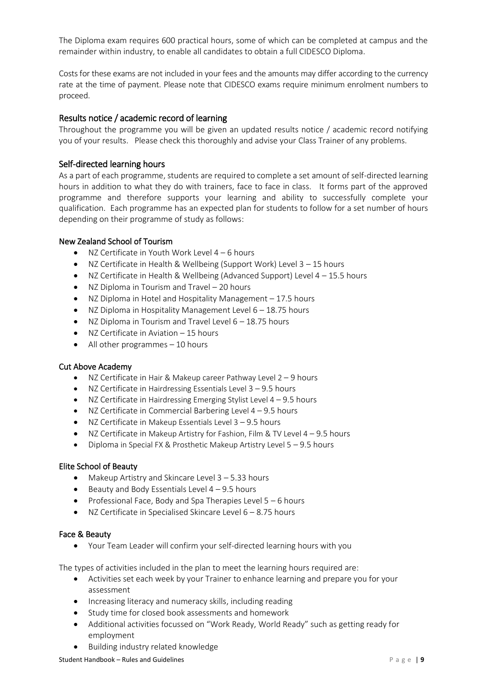The Diploma exam requires 600 practical hours, some of which can be completed at campus and the remainder within industry, to enable all candidates to obtain a full CIDESCO Diploma.

Costs for these exams are not included in your fees and the amounts may differ according to the currency rate at the time of payment. Please note that CIDESCO exams require minimum enrolment numbers to proceed.

# <span id="page-15-0"></span>Results notice / academic record of learning

Throughout the programme you will be given an updated results notice / academic record notifying you of your results. Please check this thoroughly and advise your Class Trainer of any problems.

# <span id="page-15-1"></span>Self-directed learning hours

As a part of each programme, students are required to complete a set amount of self-directed learning hours in addition to what they do with trainers, face to face in class. It forms part of the approved programme and therefore supports your learning and ability to successfully complete your qualification. Each programme has an expected plan for students to follow for a set number of hours depending on their programme of study as follows:

#### New Zealand School of Tourism

- NZ Certificate in Youth Work Level  $4 6$  hours
- NZ Certificate in Health & Wellbeing (Support Work) Level 3 15 hours
- NZ Certificate in Health & Wellbeing (Advanced Support) Level  $4 15.5$  hours
- NZ Diploma in Tourism and Travel 20 hours
- NZ Diploma in Hotel and Hospitality Management 17.5 hours
- NZ Diploma in Hospitality Management Level 6 18.75 hours
- NZ Diploma in Tourism and Travel Level 6 18.75 hours
- NZ Certificate in Aviation 15 hours
- $\bullet$  All other programmes  $-10$  hours

#### Cut Above Academy

- NZ Certificate in Hair & Makeup career Pathway Level 2 9 hours
- NZ Certificate in Hairdressing Essentials Level 3 9.5 hours
- NZ Certificate in Hairdressing Emerging Stylist Level  $4 9.5$  hours
- NZ Certificate in Commercial Barbering Level  $4 9.5$  hours
- NZ Certificate in Makeup Essentials Level  $3 9.5$  hours
- NZ Certificate in Makeup Artistry for Fashion, Film & TV Level 4 9.5 hours
- Diploma in Special FX & Prosthetic Makeup Artistry Level 5 9.5 hours

#### Elite School of Beauty

- Makeup Artistry and Skincare Level 3 5.33 hours
- $\bullet$  Beauty and Body Essentials Level 4 9.5 hours
- Professional Face, Body and Spa Therapies Level  $5 6$  hours
- NZ Certificate in Specialised Skincare Level  $6 8.75$  hours

#### Face & Beauty

• Your Team Leader will confirm your self-directed learning hours with you

The types of activities included in the plan to meet the learning hours required are:

- Activities set each week by your Trainer to enhance learning and prepare you for your assessment
- Increasing literacy and numeracy skills, including reading
- Study time for closed book assessments and homework
- Additional activities focussed on "Work Ready, World Ready" such as getting ready for employment
- Building industry related knowledge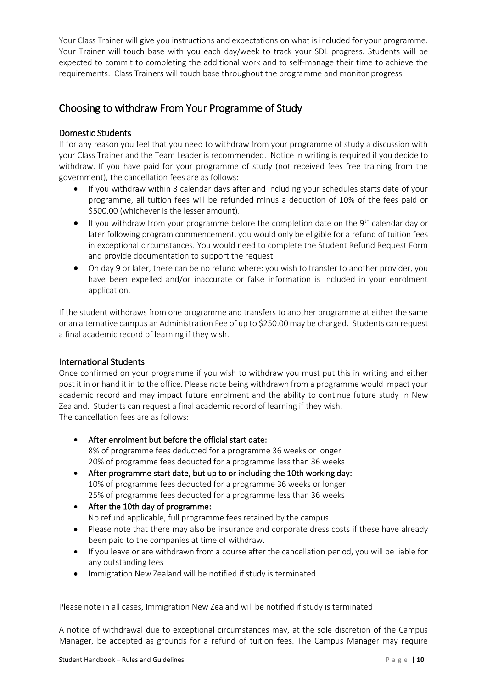Your Class Trainer will give you instructions and expectations on what is included for your programme. Your Trainer will touch base with you each day/week to track your SDL progress. Students will be expected to commit to completing the additional work and to self-manage their time to achieve the requirements. Class Trainers will touch base throughout the programme and monitor progress.

# <span id="page-16-0"></span>Choosing to withdraw From Your Programme of Study

# <span id="page-16-1"></span>Domestic Students

If for any reason you feel that you need to withdraw from your programme of study a discussion with your Class Trainer and the Team Leader is recommended. Notice in writing is required if you decide to withdraw. If you have paid for your programme of study (not received fees free training from the government), the cancellation fees are as follows:

- If you withdraw within 8 calendar days after and including your schedules starts date of your programme, all tuition fees will be refunded minus a deduction of 10% of the fees paid or \$500.00 (whichever is the lesser amount).
- If you withdraw from your programme before the completion date on the  $9<sup>th</sup>$  calendar day or later following program commencement, you would only be eligible for a refund of tuition fees in exceptional circumstances. You would need to complete the Student Refund Request Form and provide documentation to support the request.
- On day 9 or later, there can be no refund where: you wish to transfer to another provider, you have been expelled and/or inaccurate or false information is included in your enrolment application.

If the student withdraws from one programme and transfers to another programme at either the same or an alternative campus an Administration Fee of up to \$250.00 may be charged. Students can request a final academic record of learning if they wish.

# <span id="page-16-2"></span>International Students

Once confirmed on your programme if you wish to withdraw you must put this in writing and either post it in or hand it in to the office. Please note being withdrawn from a programme would impact your academic record and may impact future enrolment and the ability to continue future study in New Zealand. Students can request a final academic record of learning if they wish. The cancellation fees are as follows:

- After enrolment but before the official start date: 8% of programme fees deducted for a programme 36 weeks or longer 20% of programme fees deducted for a programme less than 36 weeks
- After programme start date, but up to or including the 10th working day: 10% of programme fees deducted for a programme 36 weeks or longer 25% of programme fees deducted for a programme less than 36 weeks
- After the 10th day of programme: No refund applicable, full programme fees retained by the campus.
- Please note that there may also be insurance and corporate dress costs if these have already been paid to the companies at time of withdraw.
- If you leave or are withdrawn from a course after the cancellation period, you will be liable for any outstanding fees
- Immigration New Zealand will be notified if study is terminated

Please note in all cases, Immigration New Zealand will be notified if study is terminated

A notice of withdrawal due to exceptional circumstances may, at the sole discretion of the Campus Manager, be accepted as grounds for a refund of tuition fees. The Campus Manager may require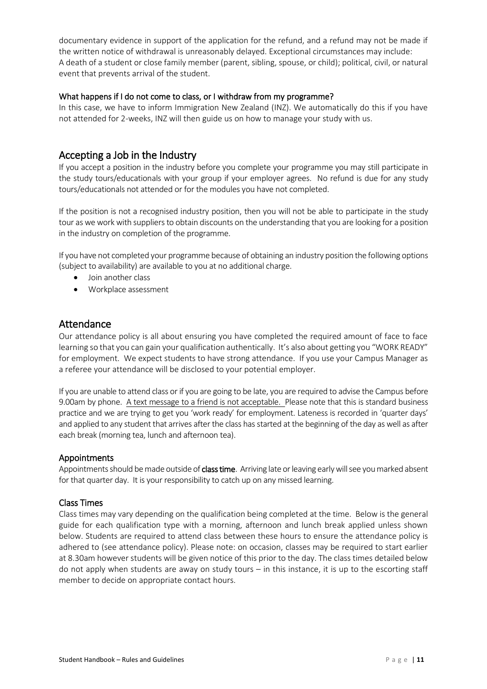documentary evidence in support of the application for the refund, and a refund may not be made if the written notice of withdrawal is unreasonably delayed. Exceptional circumstances may include: A death of a student or close family member (parent, sibling, spouse, or child); political, civil, or natural event that prevents arrival of the student.

#### What happens if I do not come to class, or I withdraw from my programme?

In this case, we have to inform Immigration New Zealand (INZ). We automatically do this if you have not attended for 2-weeks, INZ will then guide us on how to manage your study with us.

# <span id="page-17-0"></span>Accepting a Job in the Industry

If you accept a position in the industry before you complete your programme you may still participate in the study tours/educationals with your group if your employer agrees. No refund is due for any study tours/educationals not attended or for the modules you have not completed.

If the position is not a recognised industry position, then you will not be able to participate in the study tour as we work with suppliers to obtain discounts on the understanding that you are looking for a position in the industry on completion of the programme.

If you have not completed your programme because of obtaining an industry position the following options (subject to availability) are available to you at no additional charge.

- Join another class
- Workplace assessment

# <span id="page-17-1"></span>Attendance

Our attendance policy is all about ensuring you have completed the required amount of face to face learning so that you can gain your qualification authentically. It's also about getting you "WORK READY" for employment. We expect students to have strong attendance. If you use your Campus Manager as a referee your attendance will be disclosed to your potential employer.

If you are unable to attend class or if you are going to be late, you are required to advise the Campus before 9.00am by phone. A text message to a friend is not acceptable. Please note that this is standard business practice and we are trying to get you 'work ready' for employment. Lateness is recorded in 'quarter days' and applied to any student that arrives after the class has started at the beginning of the day as well as after each break (morning tea, lunch and afternoon tea).

# <span id="page-17-2"></span>Appointments

Appointments should be made outside of class time. Arriving late or leaving early will see you marked absent for that quarter day. It is your responsibility to catch up on any missed learning.

#### <span id="page-17-3"></span>Class Times

Class times may vary depending on the qualification being completed at the time. Below is the general guide for each qualification type with a morning, afternoon and lunch break applied unless shown below. Students are required to attend class between these hours to ensure the attendance policy is adhered to (see attendance policy). Please note: on occasion, classes may be required to start earlier at 8.30am however students will be given notice of this prior to the day. The class times detailed below do not apply when students are away on study tours – in this instance, it is up to the escorting staff member to decide on appropriate contact hours.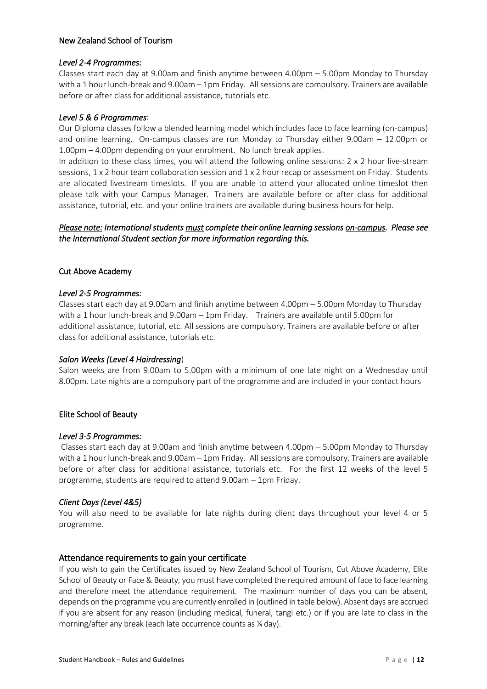#### New Zealand School of Tourism

#### *Level 2-4 Programmes:*

Classes start each day at 9.00am and finish anytime between 4.00pm – 5.00pm Monday to Thursday with a 1 hour lunch-break and 9.00am – 1pm Friday. All sessions are compulsory. Trainers are available before or after class for additional assistance, tutorials etc.

### *Level 5 & 6 Programmes*:

Our Diploma classes follow a blended learning model which includes face to face learning (on-campus) and online learning. On-campus classes are run Monday to Thursday either 9.00am – 12.00pm or 1.00pm – 4.00pm depending on your enrolment. No lunch break applies.

In addition to these class times, you will attend the following online sessions: 2 x 2 hour live-stream sessions, 1 x 2 hour team collaboration session and 1 x 2 hour recap or assessment on Friday. Students are allocated livestream timeslots. If you are unable to attend your allocated online timeslot then please talk with your Campus Manager. Trainers are available before or after class for additional assistance, tutorial, etc. and your online trainers are available during business hours for help.

# *Please note: International students must complete their online learning sessions on-campus. Please see the International Student section for more information regarding this.*

# Cut Above Academy

#### *Level 2-5 Programmes:*

Classes start each day at 9.00am and finish anytime between 4.00pm – 5.00pm Monday to Thursday with a 1 hour lunch-break and 9.00am – 1pm Friday. Trainers are available until 5.00pm for additional assistance, tutorial, etc. All sessions are compulsory. Trainers are available before or after class for additional assistance, tutorials etc.

#### *Salon Weeks (Level 4 Hairdressing*)

Salon weeks are from 9.00am to 5.00pm with a minimum of one late night on a Wednesday until 8.00pm. Late nights are a compulsory part of the programme and are included in your contact hours

#### Elite School of Beauty

#### *Level 3-5 Programmes:*

Classes start each day at 9.00am and finish anytime between 4.00pm – 5.00pm Monday to Thursday with a 1 hour lunch-break and 9.00am – 1pm Friday. All sessions are compulsory. Trainers are available before or after class for additional assistance, tutorials etc. For the first 12 weeks of the level 5 programme, students are required to attend 9.00am – 1pm Friday.

#### *Client Days (Level 4&5)*

You will also need to be available for late nights during client days throughout your level 4 or 5 programme.

#### <span id="page-18-0"></span>Attendance requirements to gain your certificate

If you wish to gain the Certificates issued by New Zealand School of Tourism, Cut Above Academy, Elite School of Beauty or Face & Beauty, you must have completed the required amount of face to face learning and therefore meet the attendance requirement. The maximum number of days you can be absent, depends on the programme you are currently enrolled in (outlined in table below). Absent days are accrued if you are absent for any reason (including medical, funeral, tangi etc.) or if you are late to class in the morning/after any break (each late occurrence counts as ¼ day).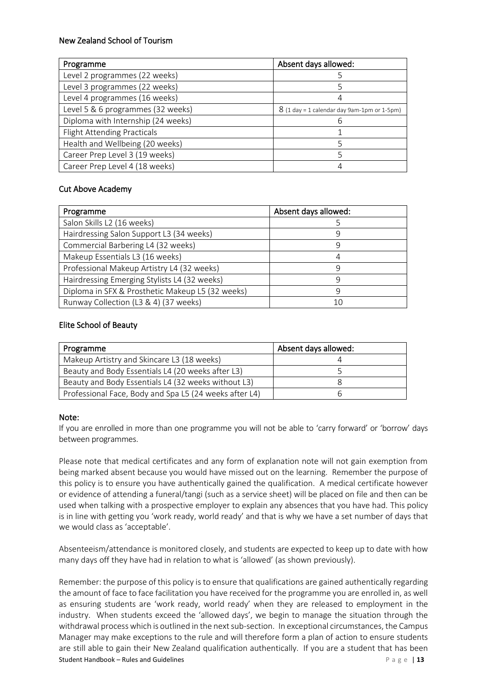### New Zealand School of Tourism

| Programme                          | Absent days allowed:                          |
|------------------------------------|-----------------------------------------------|
| Level 2 programmes (22 weeks)      |                                               |
| Level 3 programmes (22 weeks)      |                                               |
| Level 4 programmes (16 weeks)      |                                               |
| Level 5 & 6 programmes (32 weeks)  | $8$ (1 day = 1 calendar day 9am-1pm or 1-5pm) |
| Diploma with Internship (24 weeks) |                                               |
| <b>Flight Attending Practicals</b> |                                               |
| Health and Wellbeing (20 weeks)    |                                               |
| Career Prep Level 3 (19 weeks)     |                                               |
| Career Prep Level 4 (18 weeks)     |                                               |

#### Cut Above Academy

| Programme                                        | Absent days allowed: |
|--------------------------------------------------|----------------------|
| Salon Skills L2 (16 weeks)                       |                      |
| Hairdressing Salon Support L3 (34 weeks)         | 9                    |
| Commercial Barbering L4 (32 weeks)               | 9                    |
| Makeup Essentials L3 (16 weeks)                  |                      |
| Professional Makeup Artistry L4 (32 weeks)       | q                    |
| Hairdressing Emerging Stylists L4 (32 weeks)     | q                    |
| Diploma in SFX & Prosthetic Makeup L5 (32 weeks) | q                    |
| Runway Collection (L3 & 4) (37 weeks)            | 10                   |

#### Elite School of Beauty

| Programme                                              | Absent days allowed: |
|--------------------------------------------------------|----------------------|
| Makeup Artistry and Skincare L3 (18 weeks)             |                      |
| Beauty and Body Essentials L4 (20 weeks after L3)      |                      |
| Beauty and Body Essentials L4 (32 weeks without L3)    |                      |
| Professional Face, Body and Spa L5 (24 weeks after L4) |                      |

#### Note:

If you are enrolled in more than one programme you will not be able to 'carry forward' or 'borrow' days between programmes.

Please note that medical certificates and any form of explanation note will not gain exemption from being marked absent because you would have missed out on the learning. Remember the purpose of this policy is to ensure you have authentically gained the qualification. A medical certificate however or evidence of attending a funeral/tangi (such as a service sheet) will be placed on file and then can be used when talking with a prospective employer to explain any absences that you have had. This policy is in line with getting you 'work ready, world ready' and that is why we have a set number of days that we would class as 'acceptable'.

Absenteeism/attendance is monitored closely, and students are expected to keep up to date with how many days off they have had in relation to what is 'allowed' (as shown previously).

Student Handbook – Rules and Guidelines **Page 13** Remember: the purpose of this policy is to ensure that qualifications are gained authentically regarding the amount of face to face facilitation you have received for the programme you are enrolled in, as well as ensuring students are 'work ready, world ready' when they are released to employment in the industry. When students exceed the 'allowed days', we begin to manage the situation through the withdrawal process which is outlined in the next sub-section. In exceptional circumstances, the Campus Manager may make exceptions to the rule and will therefore form a plan of action to ensure students are still able to gain their New Zealand qualification authentically. If you are a student that has been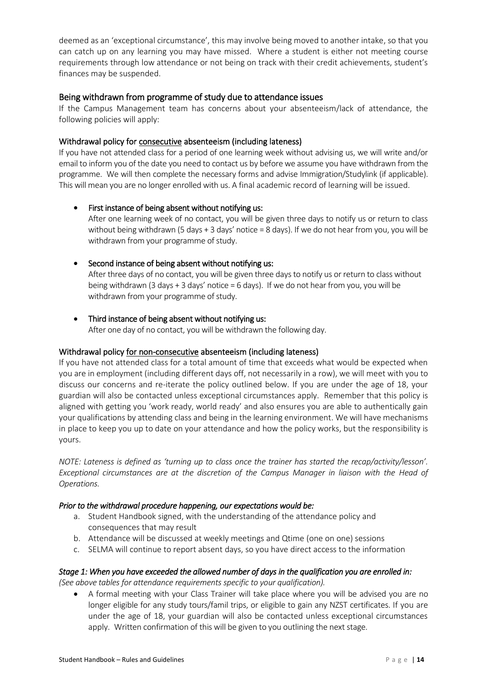deemed as an 'exceptional circumstance', this may involve being moved to another intake, so that you can catch up on any learning you may have missed. Where a student is either not meeting course requirements through low attendance or not being on track with their credit achievements, student's finances may be suspended.

# <span id="page-20-0"></span>Being withdrawn from programme of study due to attendance issues

If the Campus Management team has concerns about your absenteeism/lack of attendance, the following policies will apply:

#### Withdrawal policy for consecutive absenteeism (including lateness)

If you have not attended class for a period of one learning week without advising us, we will write and/or email to inform you of the date you need to contact us by before we assume you have withdrawn from the programme. We will then complete the necessary forms and advise Immigration/Studylink (if applicable). This will mean you are no longer enrolled with us. A final academic record of learning will be issued.

#### • First instance of being absent without notifying us:

After one learning week of no contact, you will be given three days to notify us or return to class without being withdrawn (5 days + 3 days' notice = 8 days). If we do not hear from you, you will be withdrawn from your programme of study.

#### • Second instance of being absent without notifying us:

After three days of no contact, you will be given three days to notify us or return to class without being withdrawn (3 days + 3 days' notice = 6 days). If we do not hear from you, you will be withdrawn from your programme of study.

# • Third instance of being absent without notifying us:

After one day of no contact, you will be withdrawn the following day.

#### Withdrawal policy for non-consecutive absenteeism (including lateness)

If you have not attended class for a total amount of time that exceeds what would be expected when you are in employment (including different days off, not necessarily in a row), we will meet with you to discuss our concerns and re-iterate the policy outlined below. If you are under the age of 18, your guardian will also be contacted unless exceptional circumstances apply. Remember that this policy is aligned with getting you 'work ready, world ready' and also ensures you are able to authentically gain your qualifications by attending class and being in the learning environment. We will have mechanisms in place to keep you up to date on your attendance and how the policy works, but the responsibility is yours.

*NOTE: Lateness is defined as 'turning up to class once the trainer has started the recap/activity/lesson'. Exceptional circumstances are at the discretion of the Campus Manager in liaison with the Head of Operations.*

#### *Prior to the withdrawal procedure happening, our expectations would be:*

- a. Student Handbook signed, with the understanding of the attendance policy and consequences that may result
- b. Attendance will be discussed at weekly meetings and Qtime (one on one) sessions
- c. SELMA will continue to report absent days, so you have direct access to the information

#### *Stage 1: When you have exceeded the allowed number of days in the qualification you are enrolled in:*

*(See above tables for attendance requirements specific to your qualification).* 

• A formal meeting with your Class Trainer will take place where you will be advised you are no longer eligible for any study tours/famil trips, or eligible to gain any NZST certificates. If you are under the age of 18, your guardian will also be contacted unless exceptional circumstances apply. Written confirmation of this will be given to you outlining the next stage.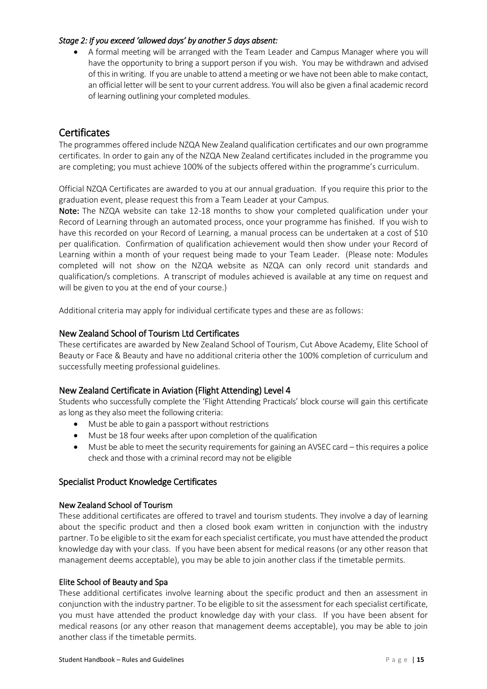#### *Stage 2: If you exceed 'allowed days' by another 5 days absent:*

• A formal meeting will be arranged with the Team Leader and Campus Manager where you will have the opportunity to bring a support person if you wish. You may be withdrawn and advised of this in writing. If you are unable to attend a meeting or we have not been able to make contact, an official letter will be sent to your current address. You will also be given a final academic record of learning outlining your completed modules.

# <span id="page-21-0"></span>**Certificates**

The programmes offered include NZQA New Zealand qualification certificates and our own programme certificates. In order to gain any of the NZQA New Zealand certificates included in the programme you are completing; you must achieve 100% of the subjects offered within the programme's curriculum.

Official NZQA Certificates are awarded to you at our annual graduation. If you require this prior to the graduation event, please request this from a Team Leader at your Campus.

Note: The NZQA website can take 12-18 months to show your completed qualification under your Record of Learning through an automated process, once your programme has finished. If you wish to have this recorded on your Record of Learning, a manual process can be undertaken at a cost of \$10 per qualification. Confirmation of qualification achievement would then show under your Record of Learning within a month of your request being made to your Team Leader. (Please note: Modules completed will not show on the NZQA website as NZQA can only record unit standards and qualification/s completions. A transcript of modules achieved is available at any time on request and will be given to you at the end of your course.)

Additional criteria may apply for individual certificate types and these are as follows:

#### <span id="page-21-1"></span>New Zealand School of Tourism Ltd Certificates

These certificates are awarded by New Zealand School of Tourism, Cut Above Academy, Elite School of Beauty or Face & Beauty and have no additional criteria other the 100% completion of curriculum and successfully meeting professional guidelines.

# <span id="page-21-2"></span>New Zealand Certificate in Aviation (Flight Attending) Level 4

Students who successfully complete the 'Flight Attending Practicals' block course will gain this certificate as long as they also meet the following criteria:

- Must be able to gain a passport without restrictions
- Must be 18 four weeks after upon completion of the qualification
- Must be able to meet the security requirements for gaining an AVSEC card this requires a police check and those with a criminal record may not be eligible

# <span id="page-21-3"></span>Specialist Product Knowledge Certificates

#### New Zealand School of Tourism

These additional certificates are offered to travel and tourism students. They involve a day of learning about the specific product and then a closed book exam written in conjunction with the industry partner. To be eligible to sit the exam for each specialist certificate, you must have attended the product knowledge day with your class. If you have been absent for medical reasons (or any other reason that management deems acceptable), you may be able to join another class if the timetable permits.

#### Elite School of Beauty and Spa

These additional certificates involve learning about the specific product and then an assessment in conjunction with the industry partner. To be eligible to sit the assessment for each specialist certificate, you must have attended the product knowledge day with your class. If you have been absent for medical reasons (or any other reason that management deems acceptable), you may be able to join another class if the timetable permits.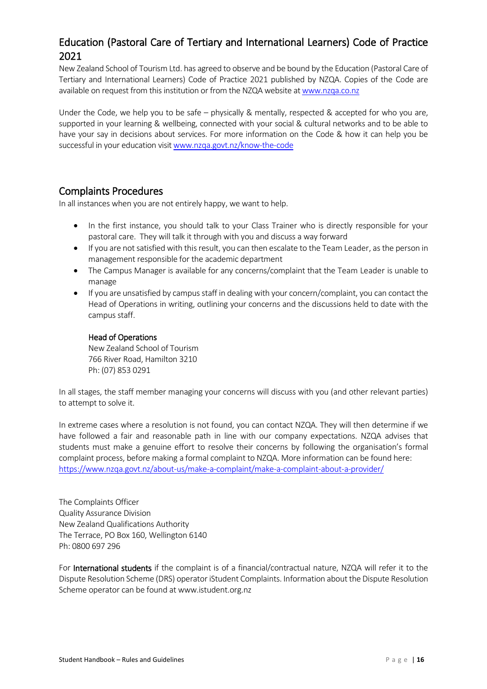# <span id="page-22-0"></span>Education (Pastoral Care of Tertiary and International Learners) Code of Practice 2021

New Zealand School of Tourism Ltd. has agreed to observe and be bound by the Education (Pastoral Care of Tertiary and International Learners) Code of Practice 2021 published by NZQA. Copies of the Code are available on request from this institution or from the NZQA website a[t www.nzqa.co.nz](http://www.nzqa.co.nz/)

Under the Code, we help you to be safe – physically & mentally, respected & accepted for who you are, supported in your learning & wellbeing, connected with your social & cultural networks and to be able to have your say in decisions about services. For more information on the Code & how it can help you be successful in your education visi[t www.nzqa.govt.nz/know-the-code](http://www.nzqa.govt.nz/know-the-code)

# <span id="page-22-1"></span>Complaints Procedures

In all instances when you are not entirely happy, we want to help.

- In the first instance, you should talk to your Class Trainer who is directly responsible for your pastoral care. They will talk it through with you and discuss a way forward
- If you are not satisfied with this result, you can then escalate to the Team Leader, as the person in management responsible for the academic department
- The Campus Manager is available for any concerns/complaint that the Team Leader is unable to manage
- If you are unsatisfied by campus staff in dealing with your concern/complaint, you can contact the Head of Operations in writing, outlining your concerns and the discussions held to date with the campus staff.

# Head of Operations

New Zealand School of Tourism 766 River Road, Hamilton 3210 Ph: (07) 853 0291

In all stages, the staff member managing your concerns will discuss with you (and other relevant parties) to attempt to solve it.

In extreme cases where a resolution is not found, you can contact NZQA. They will then determine if we have followed a fair and reasonable path in line with our company expectations. NZQA advises that students must make a genuine effort to resolve their concerns by following the organisation's formal complaint process, before making a formal complaint to NZQA. More information can be found here: <https://www.nzqa.govt.nz/about-us/make-a-complaint/make-a-complaint-about-a-provider/>

The Complaints Officer Quality Assurance Division New Zealand Qualifications Authority The Terrace, PO Box 160, Wellington 6140 Ph: 0800 697 296

For International students if the complaint is of a financial/contractual nature, NZQA will refer it to the Dispute Resolution Scheme (DRS) operator iStudent Complaints. Information about the Dispute Resolution Scheme operator can be found at www.istudent.org.nz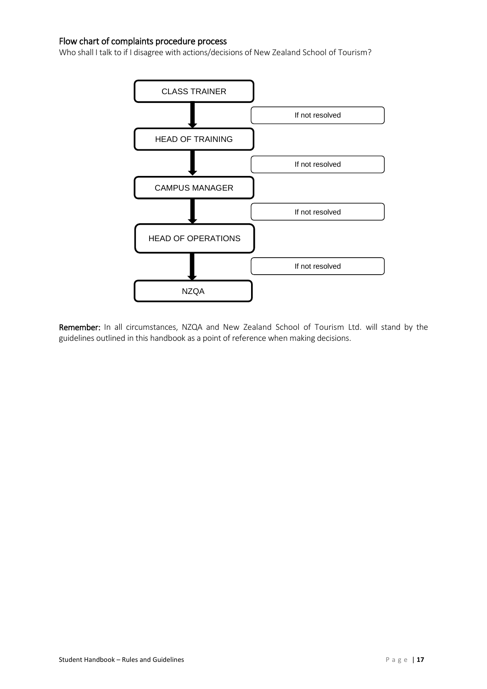# <span id="page-23-0"></span>Flow chart of complaints procedure process

Who shall I talk to if I disagree with actions/decisions of New Zealand School of Tourism?



Remember: In all circumstances, NZQA and New Zealand School of Tourism Ltd. will stand by the guidelines outlined in this handbook as a point of reference when making decisions.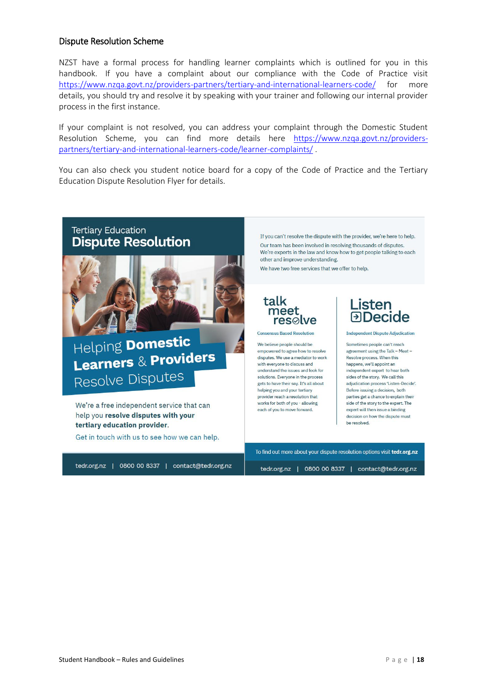# <span id="page-24-0"></span>Dispute Resolution Scheme

NZST have a formal process for handling learner complaints which is outlined for you in this handbook. If you have a complaint about our compliance with the Code of Practice visit <https://www.nzqa.govt.nz/providers-partners/tertiary-and-international-learners-code/> for more details, you should try and resolve it by speaking with your trainer and following our internal provider process in the first instance.

If your complaint is not resolved, you can address your complaint through the Domestic Student Resolution Scheme, you can find more details here [https://www.nzqa.govt.nz/providers](https://www.nzqa.govt.nz/providers-partners/tertiary-and-international-learners-code/learner-complaints/)[partners/tertiary-and-international-learners-code/learner-complaints/](https://www.nzqa.govt.nz/providers-partners/tertiary-and-international-learners-code/learner-complaints/) .

You can also check you student notice board for a copy of the Code of Practice and the Tertiary Education Dispute Resolution Flyer for details.

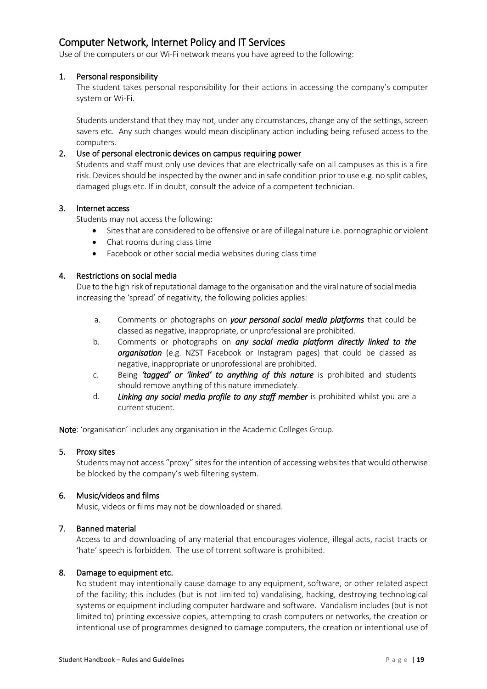# <span id="page-25-0"></span>Computer Network, Internet Policy and IT Services

Use of the computers or our Wi-Fi network means you have agreed to the following:

#### 1. Personal responsibility

The student takes personal responsibility for their actions in accessing the company's computer system or Wi-Fi.

Students understand that they may not, under any circumstances, change any of the settings, screen savers etc. Any such changes would mean disciplinary action including being refused access to the computers.

#### 2. Use of personal electronic devices on campus requiring power

Students and staff must only use devices that are electrically safe on all campuses as this is a fire risk. Devices should be inspected by the owner and in safe condition prior to use e.g. no split cables, damaged plugs etc. If in doubt, consult the advice of a competent technician.

#### 3. Internet access

Students may not access the following:

- Sites that are considered to be offensive or are of illegal nature i.e. pornographic or violent
- Chat rooms during class time
- Facebook or other social media websites during class time

#### 4. Restrictions on social media

Due to the high risk of reputational damage to the organisation and the viral nature of social media increasing the 'spread' of negativity, the following policies applies:

- a. Comments or photographs on *your personal social media platforms* that could be classed as negative, inappropriate, or unprofessional are prohibited.
- b. Comments or photographs on *any social media platform directly linked to the organisation* (e.g. NZST Facebook or Instagram pages) that could be classed as negative, inappropriate or unprofessional are prohibited.
- c. Being *'tagged' or 'linked' to anything of this nature* is prohibited and students should remove anything of this nature immediately.
- d. *Linking any social media profile to any staff member* is prohibited whilst you are a current student.

Note: 'organisation' includes any organisation in the Academic Colleges Group.

#### 5. Proxy sites

Students may not access "proxy" sites for the intention of accessing websites that would otherwise be blocked by the company's web filtering system.

#### 6. Music/videos and films

Music, videos or films may not be downloaded or shared.

#### 7. Banned material

Access to and downloading of any material that encourages violence, illegal acts, racist tracts or 'hate' speech is forbidden. The use of torrent software is prohibited.

#### 8. Damage to equipment etc.

No student may intentionally cause damage to any equipment, software, or other related aspect of the facility; this includes (but is not limited to) vandalising, hacking, destroying technological systems or equipment including computer hardware and software. Vandalism includes (but is not limited to) printing excessive copies, attempting to crash computers or networks, the creation or intentional use of programmes designed to damage computers, the creation or intentional use of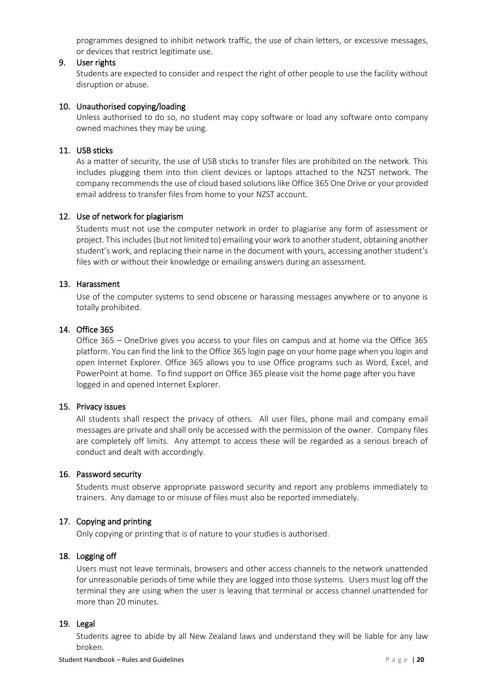programmes designed to inhibit network traffic, the use of chain letters, or excessive messages, or devices that restrict legitimate use.

#### 9. User rights

Students are expected to consider and respect the right of other people to use the facility without disruption or abuse.

#### 10. Unauthorised copying/loading

Unless authorised to do so, no student may copy software or load any software onto company owned machines they may be using.

### 11. USB sticks

As a matter of security, the use of USB sticks to transfer files are prohibited on the network. This includes plugging them into thin client devices or laptops attached to the NZST network. The company recommends the use of cloud based solutions like Office 365 One Drive or your provided email address to transfer files from home to your NZST account.

#### 12. Use of network for plagiarism

Students must not use the computer network in order to plagiarise any form of assessment or project. This includes (but not limited to) emailing your work to another student, obtaining another student's work, and replacing their name in the document with yours, accessing another student's files with or without their knowledge or emailing answers during an assessment.

#### 13. Harassment

Use of the computer systems to send obscene or harassing messages anywhere or to anyone is totally prohibited.

#### 14. Office 365

Office 365 – OneDrive gives you access to your files on campus and at home via the Office 365 platform. You can find the link to the Office 365 login page on your home page when you login and open Internet Explorer. Office 365 allows you to use Office programs such as Word, Excel, and PowerPoint at home. To find support on Office 365 please visit the home page after you have logged in and opened Internet Explorer.

#### 15. Privacy issues

All students shall respect the privacy of others. All user files, phone mail and company email messages are private and shall only be accessed with the permission of the owner. Company files are completely off limits. Any attempt to access these will be regarded as a serious breach of conduct and dealt with accordingly.

#### 16. Password security

Students must observe appropriate password security and report any problems immediately to trainers. Any damage to or misuse of files must also be reported immediately.

# 17. Copying and printing

Only copying or printing that is of nature to your studies is authorised.

#### 18. Logging off

Users must not leave terminals, browsers and other access channels to the network unattended for unreasonable periods of time while they are logged into those systems. Users must log off the terminal they are using when the user is leaving that terminal or access channel unattended for more than 20 minutes.

#### 19. Legal

Students agree to abide by all New Zealand laws and understand they will be liable for any law broken.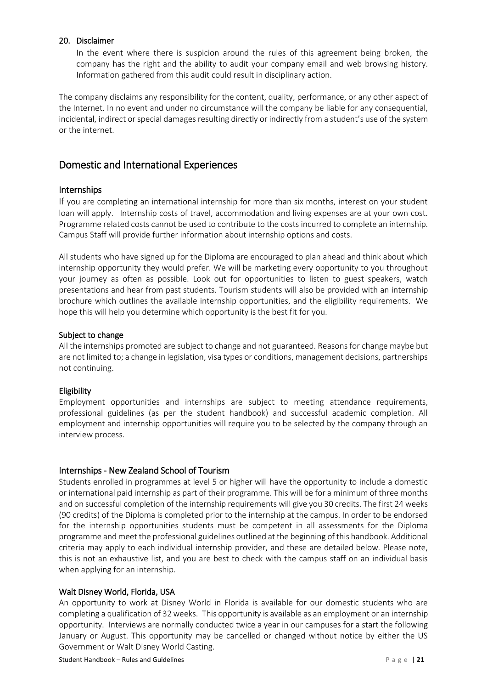#### 20. Disclaimer

In the event where there is suspicion around the rules of this agreement being broken, the company has the right and the ability to audit your company email and web browsing history. Information gathered from this audit could result in disciplinary action.

The company disclaims any responsibility for the content, quality, performance, or any other aspect of the Internet. In no event and under no circumstance will the company be liable for any consequential, incidental, indirect or special damages resulting directly or indirectly from a student's use of the system or the internet.

# <span id="page-27-0"></span>Domestic and International Experiences

# <span id="page-27-1"></span>Internships

If you are completing an international internship for more than six months, interest on your student loan will apply. Internship costs of travel, accommodation and living expenses are at your own cost. Programme related costs cannot be used to contribute to the costs incurred to complete an internship. Campus Staff will provide further information about internship options and costs.

All students who have signed up for the Diploma are encouraged to plan ahead and think about which internship opportunity they would prefer. We will be marketing every opportunity to you throughout your journey as often as possible. Look out for opportunities to listen to guest speakers, watch presentations and hear from past students. Tourism students will also be provided with an internship brochure which outlines the available internship opportunities, and the eligibility requirements. We hope this will help you determine which opportunity is the best fit for you.

#### Subject to change

All the internships promoted are subject to change and not guaranteed. Reasons for change maybe but are not limited to; a change in legislation, visa types or conditions, management decisions, partnerships not continuing.

#### Eligibility

Employment opportunities and internships are subject to meeting attendance requirements, professional guidelines (as per the student handbook) and successful academic completion. All employment and internship opportunities will require you to be selected by the company through an interview process.

# <span id="page-27-2"></span>Internships - New Zealand School of Tourism

Students enrolled in programmes at level 5 or higher will have the opportunity to include a domestic or international paid internship as part of their programme. This will be for a minimum of three months and on successful completion of the internship requirements will give you 30 credits. The first 24 weeks (90 credits) of the Diploma is completed prior to the internship at the campus. In order to be endorsed for the internship opportunities students must be competent in all assessments for the Diploma programme and meet the professional guidelines outlined at the beginning of this handbook. Additional criteria may apply to each individual internship provider, and these are detailed below. Please note, this is not an exhaustive list, and you are best to check with the campus staff on an individual basis when applying for an internship.

#### Walt Disney World, Florida, USA

An opportunity to work at Disney World in Florida is available for our domestic students who are completing a qualification of 32 weeks. This opportunity is available as an employment or an internship opportunity. Interviews are normally conducted twice a year in our campuses for a start the following January or August. This opportunity may be cancelled or changed without notice by either the US Government or Walt Disney World Casting.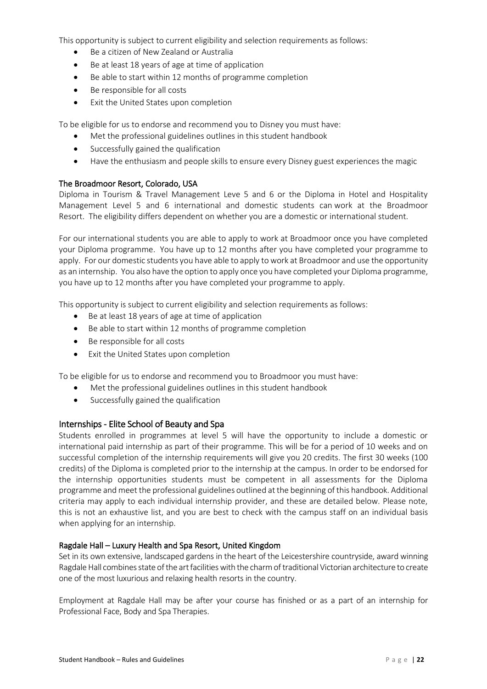This opportunity is subject to current eligibility and selection requirements as follows:

- Be a citizen of New Zealand or Australia
- Be at least 18 years of age at time of application
- Be able to start within 12 months of programme completion
- Be responsible for all costs
- Exit the United States upon completion

To be eligible for us to endorse and recommend you to Disney you must have:

- Met the professional guidelines outlines in this student handbook
- Successfully gained the qualification
- Have the enthusiasm and people skills to ensure every Disney guest experiences the magic

#### The Broadmoor Resort, Colorado, USA

Diploma in Tourism & Travel Management Leve 5 and 6 or the Diploma in Hotel and Hospitality Management Level 5 and 6 international and domestic students can work at the Broadmoor Resort. The eligibility differs dependent on whether you are a domestic or international student.

For our international students you are able to apply to work at Broadmoor once you have completed your Diploma programme. You have up to 12 months after you have completed your programme to apply. For our domestic students you have able to apply to work at Broadmoor and use the opportunity as an internship. You also have the option to apply once you have completed your Diploma programme, you have up to 12 months after you have completed your programme to apply.

This opportunity is subject to current eligibility and selection requirements as follows:

- Be at least 18 years of age at time of application
- Be able to start within 12 months of programme completion
- Be responsible for all costs
- Exit the United States upon completion

To be eligible for us to endorse and recommend you to Broadmoor you must have:

- Met the professional guidelines outlines in this student handbook
- Successfully gained the qualification

#### <span id="page-28-0"></span>Internships - Elite School of Beauty and Spa

Students enrolled in programmes at level 5 will have the opportunity to include a domestic or international paid internship as part of their programme. This will be for a period of 10 weeks and on successful completion of the internship requirements will give you 20 credits. The first 30 weeks (100 credits) of the Diploma is completed prior to the internship at the campus. In order to be endorsed for the internship opportunities students must be competent in all assessments for the Diploma programme and meet the professional guidelines outlined at the beginning of this handbook. Additional criteria may apply to each individual internship provider, and these are detailed below. Please note, this is not an exhaustive list, and you are best to check with the campus staff on an individual basis when applying for an internship.

#### Ragdale Hall – Luxury Health and Spa Resort, United Kingdom

Set in its own extensive, landscaped gardens in the heart of the Leicestershire countryside, award winning Ragdale Hall combines state of the art facilities with the charm of traditional Victorian architecture to create one of the most luxurious and relaxing health resorts in the country.

Employment at Ragdale Hall may be after your course has finished or as a part of an internship for Professional Face, Body and Spa Therapies.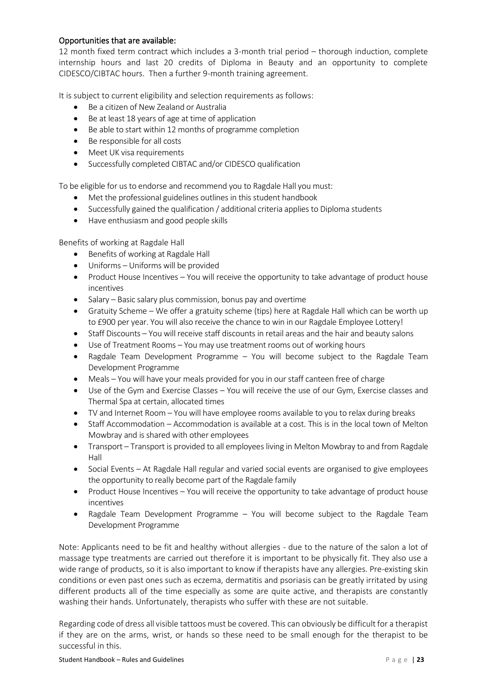### Opportunities that are available:

12 month fixed term contract which includes a 3-month trial period – thorough induction, complete internship hours and last 20 credits of Diploma in Beauty and an opportunity to complete CIDESCO/CIBTAC hours. Then a further 9-month training agreement.

It is subject to current eligibility and selection requirements as follows:

- Be a citizen of New Zealand or Australia
- Be at least 18 years of age at time of application
- Be able to start within 12 months of programme completion
- Be responsible for all costs
- Meet UK visa requirements
- Successfully completed CIBTAC and/or CIDESCO qualification

To be eligible for us to endorse and recommend you to Ragdale Hall you must:

- Met the professional guidelines outlines in this student handbook
- Successfully gained the qualification / additional criteria applies to Diploma students
- Have enthusiasm and good people skills

Benefits of working at Ragdale Hall

- Benefits of working at Ragdale Hall
- Uniforms Uniforms will be provided
- Product House Incentives You will receive the opportunity to take advantage of product house incentives
- Salary Basic salary plus commission, bonus pay and overtime
- Gratuity Scheme We offer a gratuity scheme (tips) here at Ragdale Hall which can be worth up to £900 per year. You will also receive the chance to win in our Ragdale Employee Lottery!
- Staff Discounts You will receive staff discounts in retail areas and the hair and beauty salons
- Use of Treatment Rooms You may use treatment rooms out of working hours
- Ragdale Team Development Programme You will become subject to the Ragdale Team Development Programme
- Meals You will have your meals provided for you in our staff canteen free of charge
- Use of the Gym and Exercise Classes You will receive the use of our Gym, Exercise classes and Thermal Spa at certain, allocated times
- TV and Internet Room You will have employee rooms available to you to relax during breaks
- Staff Accommodation Accommodation is available at a cost. This is in the local town of Melton Mowbray and is shared with other employees
- Transport Transport is provided to all employees living in Melton Mowbray to and from Ragdale Hall
- Social Events At Ragdale Hall regular and varied social events are organised to give employees the opportunity to really become part of the Ragdale family
- Product House Incentives You will receive the opportunity to take advantage of product house incentives
- Ragdale Team Development Programme You will become subject to the Ragdale Team Development Programme

Note: Applicants need to be fit and healthy without allergies - due to the nature of the salon a lot of massage type treatments are carried out therefore it is important to be physically fit. They also use a wide range of products, so it is also important to know if therapists have any allergies. Pre-existing skin conditions or even past ones such as eczema, dermatitis and psoriasis can be greatly irritated by using different products all of the time especially as some are quite active, and therapists are constantly washing their hands. Unfortunately, therapists who suffer with these are not suitable.

Regarding code of dress all visible tattoos must be covered. This can obviously be difficult for a therapist if they are on the arms, wrist, or hands so these need to be small enough for the therapist to be successful in this.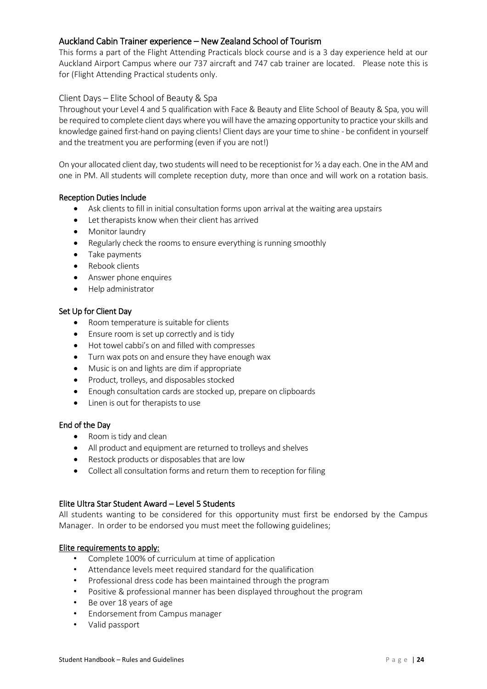# <span id="page-30-0"></span>Auckland Cabin Trainer experience – New Zealand School of Tourism

This forms a part of the Flight Attending Practicals block course and is a 3 day experience held at our Auckland Airport Campus where our 737 aircraft and 747 cab trainer are located. Please note this is for (Flight Attending Practical students only.

### <span id="page-30-1"></span>Client Days – Elite School of Beauty & Spa

Throughout your Level 4 and 5 qualification with Face & Beauty and Elite School of Beauty & Spa, you will be required to complete client days where you will have the amazing opportunity to practice your skills and knowledge gained first-hand on paying clients! Client days are your time to shine - be confident in yourself and the treatment you are performing (even if you are not!)

On your allocated client day, two students will need to be receptionist for  $\frac{1}{2}$  a day each. One in the AM and one in PM. All students will complete reception duty, more than once and will work on a rotation basis.

#### Reception Duties Include

- Ask clients to fill in initial consultation forms upon arrival at the waiting area upstairs
- Let therapists know when their client has arrived
- Monitor laundry
- Regularly check the rooms to ensure everything is running smoothly
- Take payments
- Rebook clients
- Answer phone enquires
- Help administrator

#### Set Up for Client Day

- Room temperature is suitable for clients
- Ensure room is set up correctly and is tidy
- Hot towel cabbi's on and filled with compresses
- Turn wax pots on and ensure they have enough wax
- Music is on and lights are dim if appropriate
- Product, trolleys, and disposables stocked
- Enough consultation cards are stocked up, prepare on clipboards
- Linen is out for therapists to use

#### End of the Day

- Room is tidy and clean
- All product and equipment are returned to trolleys and shelves
- Restock products or disposables that are low
- Collect all consultation forms and return them to reception for filing

#### Elite Ultra Star Student Award – Level 5 Students

All students wanting to be considered for this opportunity must first be endorsed by the Campus Manager. In order to be endorsed you must meet the following guidelines;

#### Elite requirements to apply:

- Complete 100% of curriculum at time of application
- Attendance levels meet required standard for the qualification
- Professional dress code has been maintained through the program
- Positive & professional manner has been displayed throughout the program
- Be over 18 years of age
- Endorsement from Campus manager
- Valid passport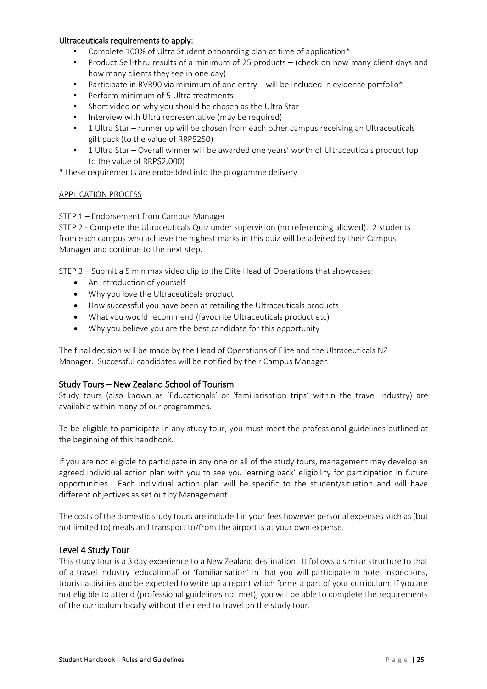#### Ultraceuticals requirements to apply:

- Complete 100% of Ultra Student onboarding plan at time of application\*
- Product Sell-thru results of a minimum of 25 products (check on how many client days and how many clients they see in one day)
- Participate in RVR90 via minimum of one entry will be included in evidence portfolio\*
- Perform minimum of 5 Ultra treatments
- Short video on why you should be chosen as the Ultra Star
- Interview with Ultra representative (may be required)
- 1 Ultra Star runner up will be chosen from each other campus receiving an Ultraceuticals gift pack (to the value of RRP\$250)
- 1 Ultra Star Overall winner will be awarded one years' worth of Ultraceuticals product (up to the value of RRP\$2,000)

\* these requirements are embedded into the programme delivery

#### APPLICATION PROCESS

#### STEP 1 – Endorsement from Campus Manager

STEP 2 - Complete the Ultraceuticals Quiz under supervision (no referencing allowed). 2 students from each campus who achieve the highest marks in this quiz will be advised by their Campus Manager and continue to the next step.

STEP 3 – Submit a 5 min max video clip to the Elite Head of Operations that showcases:

- An introduction of yourself
- Why you love the Ultraceuticals product
- How successful you have been at retailing the Ultraceuticals products
- What you would recommend (favourite Ultraceuticals product etc)
- Why you believe you are the best candidate for this opportunity

The final decision will be made by the Head of Operations of Elite and the Ultraceuticals NZ Manager. Successful candidates will be notified by their Campus Manager.

# <span id="page-31-0"></span>Study Tours – New Zealand School of Tourism

Study tours (also known as 'Educationals' or 'familiarisation trips' within the travel industry) are available within many of our programmes.

To be eligible to participate in any study tour, you must meet the professional guidelines outlined at the beginning of this handbook.

If you are not eligible to participate in any one or all of the study tours, management may develop an agreed individual action plan with you to see you 'earning back' eligibility for participation in future opportunities. Each individual action plan will be specific to the student/situation and will have different objectives as set out by Management.

The costs of the domestic study tours are included in your fees however personal expenses such as (but not limited to) meals and transport to/from the airport is at your own expense.

#### <span id="page-31-1"></span>Level 4 Study Tour

This study tour is a 3 day experience to a New Zealand destination. It follows a similar structure to that of a travel industry 'educational' or 'familiarisation' in that you will participate in hotel inspections, tourist activities and be expected to write up a report which forms a part of your curriculum. If you are not eligible to attend (professional guidelines not met), you will be able to complete the requirements of the curriculum locally without the need to travel on the study tour.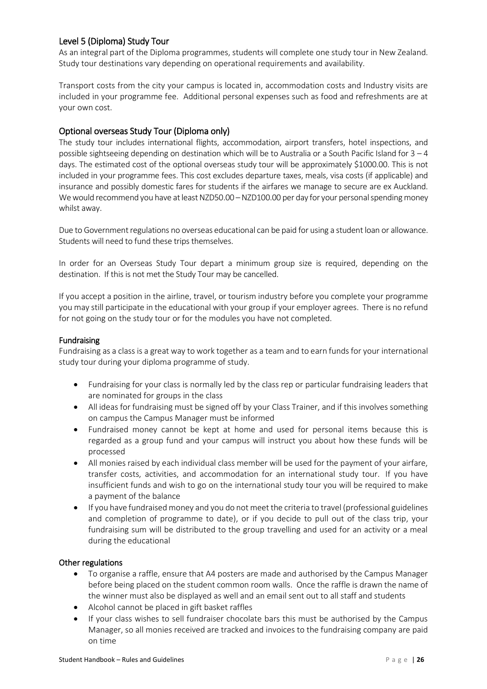# <span id="page-32-0"></span>Level 5 (Diploma) Study Tour

As an integral part of the Diploma programmes, students will complete one study tour in New Zealand. Study tour destinations vary depending on operational requirements and availability.

Transport costs from the city your campus is located in, accommodation costs and Industry visits are included in your programme fee. Additional personal expenses such as food and refreshments are at your own cost.

# <span id="page-32-1"></span>Optional overseas Study Tour (Diploma only)

The study tour includes international flights, accommodation, airport transfers, hotel inspections, and possible sightseeing depending on destination which will be to Australia or a South Pacific Island for  $3 - 4$ days. The estimated cost of the optional overseas study tour will be approximately \$1000.00. This is not included in your programme fees. This cost excludes departure taxes, meals, visa costs (if applicable) and insurance and possibly domestic fares for students if the airfares we manage to secure are ex Auckland. We would recommend you have at least NZD50.00 – NZD100.00 per day for your personal spending money whilst away.

Due to Government regulations no overseas educational can be paid for using a student loan or allowance. Students will need to fund these trips themselves.

In order for an Overseas Study Tour depart a minimum group size is required, depending on the destination. If this is not met the Study Tour may be cancelled.

If you accept a position in the airline, travel, or tourism industry before you complete your programme you may still participate in the educational with your group if your employer agrees. There is no refund for not going on the study tour or for the modules you have not completed.

#### <span id="page-32-2"></span>Fundraising

Fundraising as a class is a great way to work together as a team and to earn funds for your international study tour during your diploma programme of study.

- Fundraising for your class is normally led by the class rep or particular fundraising leaders that are nominated for groups in the class
- All ideas for fundraising must be signed off by your Class Trainer, and if this involves something on campus the Campus Manager must be informed
- Fundraised money cannot be kept at home and used for personal items because this is regarded as a group fund and your campus will instruct you about how these funds will be processed
- All monies raised by each individual class member will be used for the payment of your airfare, transfer costs, activities, and accommodation for an international study tour. If you have insufficient funds and wish to go on the international study tour you will be required to make a payment of the balance
- If you have fundraised money and you do not meet the criteria to travel (professional guidelines and completion of programme to date), or if you decide to pull out of the class trip, your fundraising sum will be distributed to the group travelling and used for an activity or a meal during the educational

#### Other regulations

- To organise a raffle, ensure that A4 posters are made and authorised by the Campus Manager before being placed on the student common room walls. Once the raffle is drawn the name of the winner must also be displayed as well and an email sent out to all staff and students
- Alcohol cannot be placed in gift basket raffles
- If your class wishes to sell fundraiser chocolate bars this must be authorised by the Campus Manager, so all monies received are tracked and invoices to the fundraising company are paid on time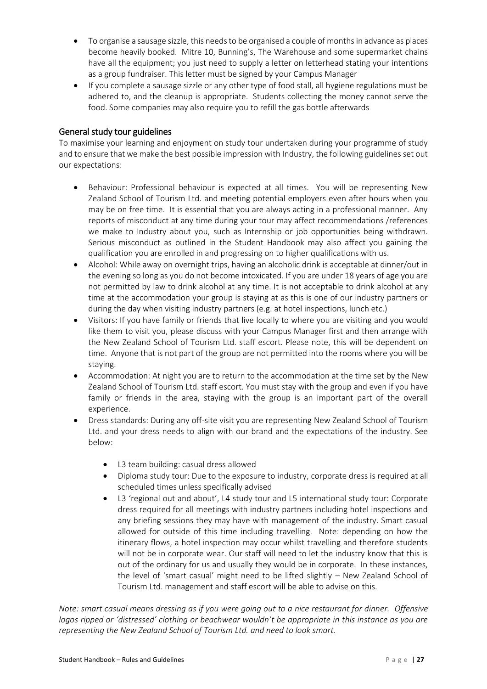- To organise a sausage sizzle, this needs to be organised a couple of months in advance as places become heavily booked. Mitre 10, Bunning's, The Warehouse and some supermarket chains have all the equipment; you just need to supply a letter on letterhead stating your intentions as a group fundraiser. This letter must be signed by your Campus Manager
- If you complete a sausage sizzle or any other type of food stall, all hygiene regulations must be adhered to, and the cleanup is appropriate. Students collecting the money cannot serve the food. Some companies may also require you to refill the gas bottle afterwards

### <span id="page-33-0"></span>General study tour guidelines

To maximise your learning and enjoyment on study tour undertaken during your programme of study and to ensure that we make the best possible impression with Industry, the following guidelines set out our expectations:

- Behaviour: Professional behaviour is expected at all times. You will be representing New Zealand School of Tourism Ltd. and meeting potential employers even after hours when you may be on free time. It is essential that you are always acting in a professional manner. Any reports of misconduct at any time during your tour may affect recommendations /references we make to Industry about you, such as Internship or job opportunities being withdrawn. Serious misconduct as outlined in the Student Handbook may also affect you gaining the qualification you are enrolled in and progressing on to higher qualifications with us.
- Alcohol: While away on overnight trips, having an alcoholic drink is acceptable at dinner/out in the evening so long as you do not become intoxicated. If you are under 18 years of age you are not permitted by law to drink alcohol at any time. It is not acceptable to drink alcohol at any time at the accommodation your group is staying at as this is one of our industry partners or during the day when visiting industry partners (e.g. at hotel inspections, lunch etc.)
- Visitors: If you have family or friends that live locally to where you are visiting and you would like them to visit you, please discuss with your Campus Manager first and then arrange with the New Zealand School of Tourism Ltd. staff escort. Please note, this will be dependent on time. Anyone that is not part of the group are not permitted into the rooms where you will be staying.
- Accommodation: At night you are to return to the accommodation at the time set by the New Zealand School of Tourism Ltd. staff escort. You must stay with the group and even if you have family or friends in the area, staying with the group is an important part of the overall experience.
- Dress standards: During any off-site visit you are representing New Zealand School of Tourism Ltd. and your dress needs to align with our brand and the expectations of the industry. See below:
	- L3 team building: casual dress allowed
	- Diploma study tour: Due to the exposure to industry, corporate dress is required at all scheduled times unless specifically advised
	- L3 'regional out and about', L4 study tour and L5 international study tour: Corporate dress required for all meetings with industry partners including hotel inspections and any briefing sessions they may have with management of the industry. Smart casual allowed for outside of this time including travelling. Note: depending on how the itinerary flows, a hotel inspection may occur whilst travelling and therefore students will not be in corporate wear. Our staff will need to let the industry know that this is out of the ordinary for us and usually they would be in corporate. In these instances, the level of 'smart casual' might need to be lifted slightly – New Zealand School of Tourism Ltd. management and staff escort will be able to advise on this.

*Note: smart casual means dressing as if you were going out to a nice restaurant for dinner. Offensive logos ripped or 'distressed' clothing or beachwear wouldn't be appropriate in this instance as you are representing the New Zealand School of Tourism Ltd. and need to look smart.*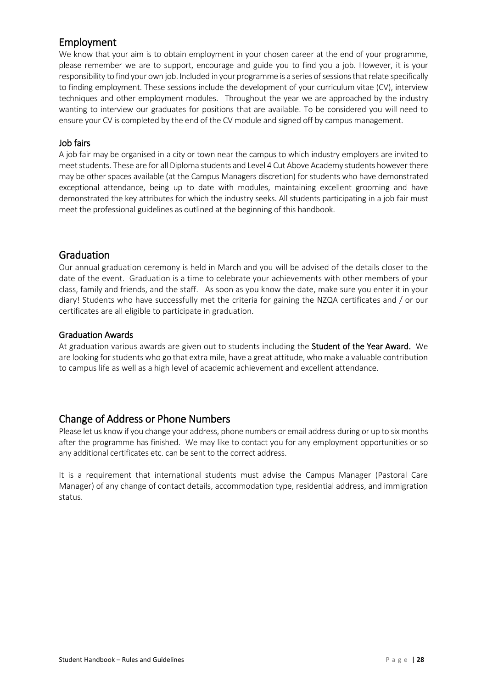# <span id="page-34-0"></span>Employment

We know that your aim is to obtain employment in your chosen career at the end of your programme, please remember we are to support, encourage and guide you to find you a job. However, it is your responsibility to find your own job. Included in your programme is a series of sessions that relate specifically to finding employment. These sessions include the development of your curriculum vitae (CV), interview techniques and other employment modules. Throughout the year we are approached by the industry wanting to interview our graduates for positions that are available. To be considered you will need to ensure your CV is completed by the end of the CV module and signed off by campus management.

# Job fairs

A job fair may be organised in a city or town near the campus to which industry employers are invited to meet students. These are for all Diploma students and Level 4 Cut Above Academy students however there may be other spaces available (at the Campus Managers discretion) for students who have demonstrated exceptional attendance, being up to date with modules, maintaining excellent grooming and have demonstrated the key attributes for which the industry seeks. All students participating in a job fair must meet the professional guidelines as outlined at the beginning of this handbook.

# <span id="page-34-1"></span>Graduation

Our annual graduation ceremony is held in March and you will be advised of the details closer to the date of the event. Graduation is a time to celebrate your achievements with other members of your class, family and friends, and the staff. As soon as you know the date, make sure you enter it in your diary! Students who have successfully met the criteria for gaining the NZQA certificates and / or our certificates are all eligible to participate in graduation.

#### <span id="page-34-2"></span>Graduation Awards

At graduation various awards are given out to students including the **Student of the Year Award.** We are looking for students who go that extra mile, have a great attitude, who make a valuable contribution to campus life as well as a high level of academic achievement and excellent attendance.

# <span id="page-34-3"></span>Change of Address or Phone Numbers

Please let us know if you change your address, phone numbers or email address during or up to six months after the programme has finished. We may like to contact you for any employment opportunities or so any additional certificates etc. can be sent to the correct address.

It is a requirement that international students must advise the Campus Manager (Pastoral Care Manager) of any change of contact details, accommodation type, residential address, and immigration status.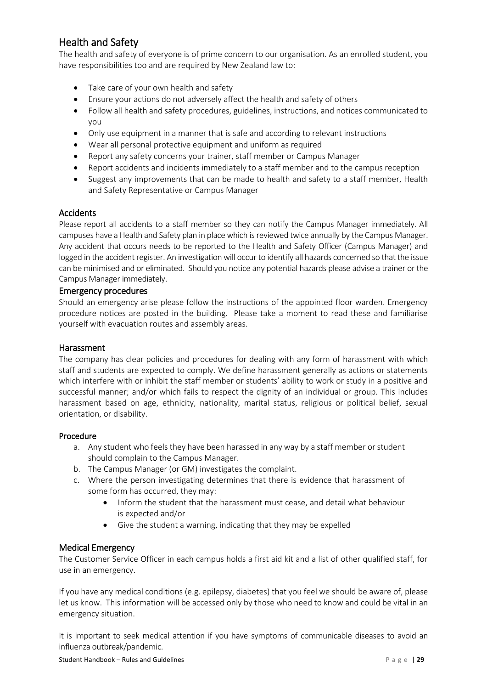# <span id="page-35-0"></span>Health and Safety

The health and safety of everyone is of prime concern to our organisation. As an enrolled student, you have responsibilities too and are required by New Zealand law to:

- Take care of your own health and safety
- Ensure your actions do not adversely affect the health and safety of others
- Follow all health and safety procedures, guidelines, instructions, and notices communicated to you
- Only use equipment in a manner that is safe and according to relevant instructions
- Wear all personal protective equipment and uniform as required
- Report any safety concerns your trainer, staff member or Campus Manager
- Report accidents and incidents immediately to a staff member and to the campus reception
- Suggest any improvements that can be made to health and safety to a staff member, Health and Safety Representative or Campus Manager

#### <span id="page-35-1"></span>**Accidents**

Please report all accidents to a staff member so they can notify the Campus Manager immediately. All campuses have a Health and Safety plan in place which is reviewed twice annually by the Campus Manager. Any accident that occurs needs to be reported to the Health and Safety Officer (Campus Manager) and logged in the accident register. An investigation will occur to identify all hazards concerned so that the issue can be minimised and or eliminated. Should you notice any potential hazards please advise a trainer or the Campus Manager immediately.

#### <span id="page-35-2"></span>Emergency procedures

Should an emergency arise please follow the instructions of the appointed floor warden. Emergency procedure notices are posted in the building. Please take a moment to read these and familiarise yourself with evacuation routes and assembly areas.

#### <span id="page-35-3"></span>Harassment

The company has clear policies and procedures for dealing with any form of harassment with which staff and students are expected to comply. We define harassment generally as actions or statements which interfere with or inhibit the staff member or students' ability to work or study in a positive and successful manner; and/or which fails to respect the dignity of an individual or group. This includes harassment based on age, ethnicity, nationality, marital status, religious or political belief, sexual orientation, or disability.

#### Procedure

- a. Any student who feels they have been harassed in any way by a staff member or student should complain to the Campus Manager.
- b. The Campus Manager (or GM) investigates the complaint.
- c. Where the person investigating determines that there is evidence that harassment of some form has occurred, they may:
	- Inform the student that the harassment must cease, and detail what behaviour is expected and/or
	- Give the student a warning, indicating that they may be expelled

#### <span id="page-35-4"></span>Medical Emergency

The Customer Service Officer in each campus holds a first aid kit and a list of other qualified staff, for use in an emergency.

If you have any medical conditions (e.g. epilepsy, diabetes) that you feel we should be aware of, please let us know. This information will be accessed only by those who need to know and could be vital in an emergency situation.

It is important to seek medical attention if you have symptoms of communicable diseases to avoid an influenza outbreak/pandemic.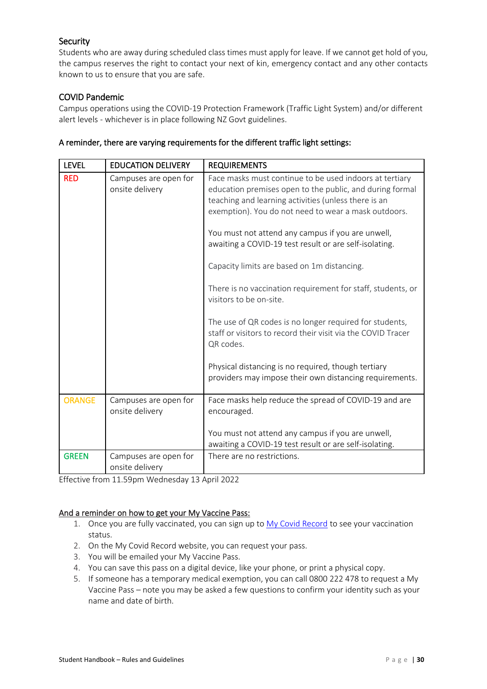# <span id="page-36-0"></span>Security

Students who are away during scheduled class times must apply for leave. If we cannot get hold of you, the campus reserves the right to contact your next of kin, emergency contact and any other contacts known to us to ensure that you are safe.

# <span id="page-36-1"></span>COVID Pandemic

Campus operations using the COVID-19 Protection Framework (Traffic Light System) and/or different alert levels - whichever is in place following NZ Govt guidelines.

| <b>LEVEL</b>  | <b>EDUCATION DELIVERY</b>                | <b>REQUIREMENTS</b>                                                                                                                                                                                                                                                                                                                                                                                                                                                                                                                                                                                                                 |
|---------------|------------------------------------------|-------------------------------------------------------------------------------------------------------------------------------------------------------------------------------------------------------------------------------------------------------------------------------------------------------------------------------------------------------------------------------------------------------------------------------------------------------------------------------------------------------------------------------------------------------------------------------------------------------------------------------------|
| <b>RED</b>    | Campuses are open for<br>onsite delivery | Face masks must continue to be used indoors at tertiary<br>education premises open to the public, and during formal<br>teaching and learning activities (unless there is an<br>exemption). You do not need to wear a mask outdoors.<br>You must not attend any campus if you are unwell,<br>awaiting a COVID-19 test result or are self-isolating.<br>Capacity limits are based on 1m distancing.<br>There is no vaccination requirement for staff, students, or<br>visitors to be on-site.<br>The use of QR codes is no longer required for students,<br>staff or visitors to record their visit via the COVID Tracer<br>QR codes. |
|               |                                          | Physical distancing is no required, though tertiary<br>providers may impose their own distancing requirements.                                                                                                                                                                                                                                                                                                                                                                                                                                                                                                                      |
| <b>ORANGE</b> | Campuses are open for<br>onsite delivery | Face masks help reduce the spread of COVID-19 and are<br>encouraged.<br>You must not attend any campus if you are unwell,<br>awaiting a COVID-19 test result or are self-isolating.                                                                                                                                                                                                                                                                                                                                                                                                                                                 |
| <b>GREEN</b>  | Campuses are open for<br>onsite delivery | There are no restrictions.                                                                                                                                                                                                                                                                                                                                                                                                                                                                                                                                                                                                          |

### A reminder, there are varying requirements for the different traffic light settings:

Effective from 11.59pm Wednesday 13 April 2022

#### And a reminder on how to get your My Vaccine Pass:

- 1. Once you are fully vaccinated, you can sign up t[o My Covid Record](https://apc01.safelinks.protection.outlook.com/?url=https%3A%2F%2Fmycovidrecord.health.nz%2F&data=04%7C01%7C%7Cf8446466450c4e09b87c08d9aafc1ee1%7C6a425d0d58f24e36868910002b2ec567%7C0%7C0%7C637728822090964430%7CUnknown%7CTWFpbGZsb3d8eyJWIjoiMC4wLjAwMDAiLCJQIjoiV2luMzIiLCJBTiI6Ik1haWwiLCJXVCI6Mn0%3D%7C3000&sdata=LyzP9JSbDISrDJQuHo4y9kEptvUhQUwyzY6FgSpoUGc%3D&reserved=0) to see your vaccination status.
- 2. On the My Covid Record website, you can request your pass.
- 3. You will be emailed your My Vaccine Pass.
- 4. You can save this pass on a digital device, like your phone, or print a physical copy.
- 5. If someone has a temporary medical exemption, you can call 0800 222 478 to request a My Vaccine Pass – note you may be asked a few questions to confirm your identity such as your name and date of birth.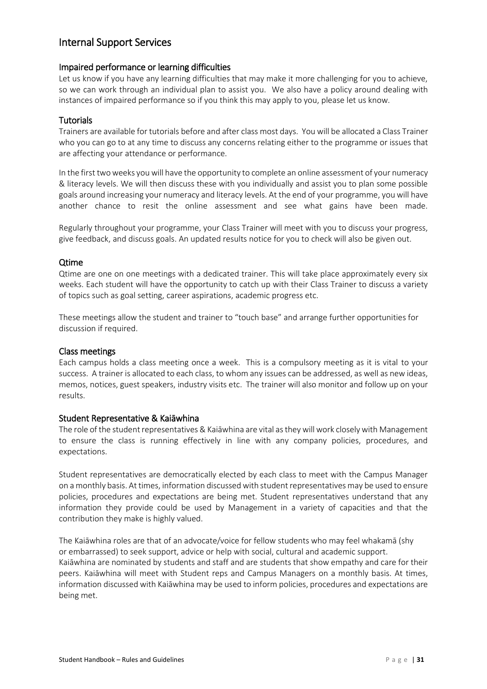# <span id="page-37-0"></span>Internal Support Services

### <span id="page-37-1"></span>Impaired performance or learning difficulties

Let us know if you have any learning difficulties that may make it more challenging for you to achieve, so we can work through an individual plan to assist you. We also have a policy around dealing with instances of impaired performance so if you think this may apply to you, please let us know.

### <span id="page-37-2"></span>**Tutorials**

Trainers are available for tutorials before and after class most days. You will be allocated a Class Trainer who you can go to at any time to discuss any concerns relating either to the programme or issues that are affecting your attendance or performance.

In the first two weeks you will have the opportunity to complete an online assessment of your numeracy & literacy levels. We will then discuss these with you individually and assist you to plan some possible goals around increasing your numeracy and literacy levels. At the end of your programme, you will have another chance to resit the online assessment and see what gains have been made.

Regularly throughout your programme, your Class Trainer will meet with you to discuss your progress, give feedback, and discuss goals. An updated results notice for you to check will also be given out.

#### <span id="page-37-3"></span>Qtime

Qtime are one on one meetings with a dedicated trainer. This will take place approximately every six weeks. Each student will have the opportunity to catch up with their Class Trainer to discuss a variety of topics such as goal setting, career aspirations, academic progress etc.

These meetings allow the student and trainer to "touch base" and arrange further opportunities for discussion if required.

#### <span id="page-37-4"></span>Class meetings

Each campus holds a class meeting once a week. This is a compulsory meeting as it is vital to your success. A trainer is allocated to each class, to whom any issues can be addressed, as well as new ideas, memos, notices, guest speakers, industry visits etc. The trainer will also monitor and follow up on your results.

#### <span id="page-37-5"></span>Student Representative & Kaiāwhina

The role of the student representatives & Kaiāwhina are vital as they will work closely with Management to ensure the class is running effectively in line with any company policies, procedures, and expectations.

Student representatives are democratically elected by each class to meet with the Campus Manager on a monthly basis. At times, information discussed with student representatives may be used to ensure policies, procedures and expectations are being met. Student representatives understand that any information they provide could be used by Management in a variety of capacities and that the contribution they make is highly valued.

The Kaiāwhina roles are that of an advocate/voice for fellow students who may feel whakamā (shy or embarrassed) to seek support, advice or help with social, cultural and academic support. Kaiāwhina are nominated by students and staff and are students that show empathy and care for their peers. Kaiāwhina will meet with Student reps and Campus Managers on a monthly basis. At times, information discussed with Kaiāwhina may be used to inform policies, procedures and expectations are being met.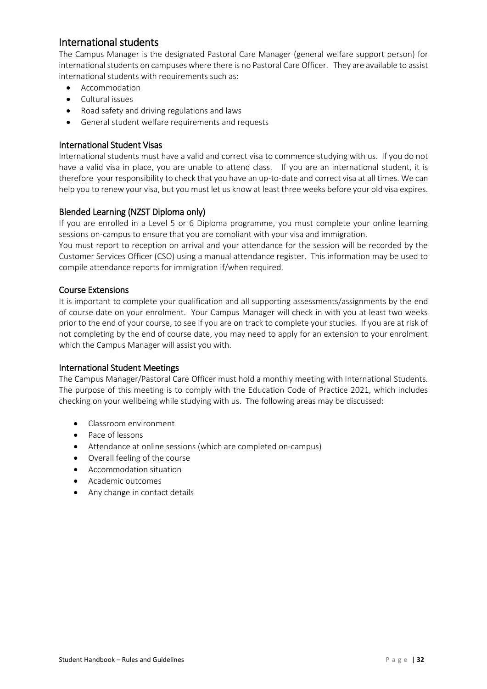# <span id="page-38-0"></span>International students

The Campus Manager is the designated Pastoral Care Manager (general welfare support person) for international students on campuses where there is no Pastoral Care Officer. They are available to assist international students with requirements such as:

- Accommodation
- Cultural issues
- Road safety and driving regulations and laws
- General student welfare requirements and requests

#### <span id="page-38-1"></span>International Student Visas

International students must have a valid and correct visa to commence studying with us. If you do not have a valid visa in place, you are unable to attend class. If you are an international student, it is therefore your responsibility to check that you have an up-to-date and correct visa at all times. We can help you to renew your visa, but you must let us know at least three weeks before your old visa expires.

# <span id="page-38-2"></span>Blended Learning (NZST Diploma only)

If you are enrolled in a Level 5 or 6 Diploma programme, you must complete your online learning sessions on-campus to ensure that you are compliant with your visa and immigration.

You must report to reception on arrival and your attendance for the session will be recorded by the Customer Services Officer (CSO) using a manual attendance register. This information may be used to compile attendance reports for immigration if/when required.

#### <span id="page-38-3"></span>Course Extensions

It is important to complete your qualification and all supporting assessments/assignments by the end of course date on your enrolment. Your Campus Manager will check in with you at least two weeks prior to the end of your course, to see if you are on track to complete your studies. If you are at risk of not completing by the end of course date, you may need to apply for an extension to your enrolment which the Campus Manager will assist you with.

#### <span id="page-38-4"></span>International Student Meetings

The Campus Manager/Pastoral Care Officer must hold a monthly meeting with International Students. The purpose of this meeting is to comply with the Education Code of Practice 2021, which includes checking on your wellbeing while studying with us. The following areas may be discussed:

- Classroom environment
- Pace of lessons
- Attendance at online sessions (which are completed on-campus)
- Overall feeling of the course
- Accommodation situation
- Academic outcomes
- Any change in contact details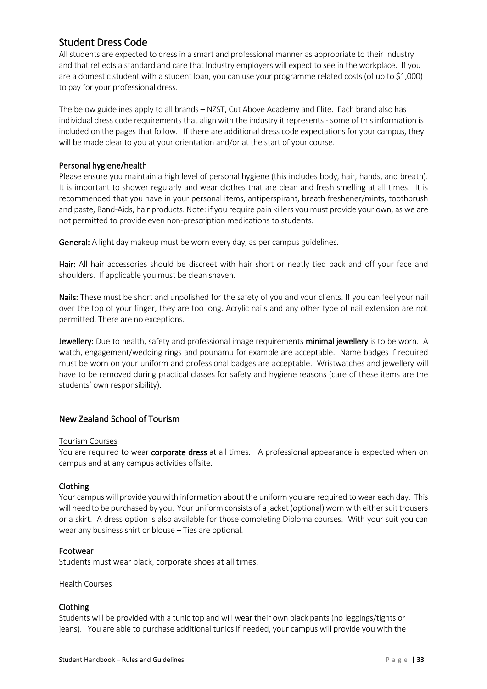# <span id="page-39-0"></span>Student Dress Code

All students are expected to dress in a smart and professional manner as appropriate to their Industry and that reflects a standard and care that Industry employers will expect to see in the workplace. If you are a domestic student with a student loan, you can use your programme related costs (of up to \$1,000) to pay for your professional dress.

The below guidelines apply to all brands – NZST, Cut Above Academy and Elite. Each brand also has individual dress code requirements that align with the industry it represents - some of this information is included on the pages that follow. If there are additional dress code expectations for your campus, they will be made clear to you at your orientation and/or at the start of your course.

#### Personal hygiene/health

Please ensure you maintain a high level of personal hygiene (this includes body, hair, hands, and breath). It is important to shower regularly and wear clothes that are clean and fresh smelling at all times. It is recommended that you have in your personal items, antiperspirant, breath freshener/mints, toothbrush and paste, Band-Aids, hair products. Note: if you require pain killers you must provide your own, as we are not permitted to provide even non-prescription medications to students.

General: A light day makeup must be worn every day, as per campus guidelines.

Hair: All hair accessories should be discreet with hair short or neatly tied back and off your face and shoulders. If applicable you must be clean shaven.

Nails: These must be short and unpolished for the safety of you and your clients. If you can feel your nail over the top of your finger, they are too long. Acrylic nails and any other type of nail extension are not permitted. There are no exceptions.

Jewellery: Due to health, safety and professional image requirements minimal jewellery is to be worn. A watch, engagement/wedding rings and pounamu for example are acceptable. Name badges if required must be worn on your uniform and professional badges are acceptable. Wristwatches and jewellery will have to be removed during practical classes for safety and hygiene reasons (care of these items are the students' own responsibility).

# <span id="page-39-1"></span>New Zealand School of Tourism

#### Tourism Courses

You are required to wear **corporate dress** at all times. A professional appearance is expected when on campus and at any campus activities offsite.

#### Clothing

Your campus will provide you with information about the uniform you are required to wear each day. This will need to be purchased by you. Your uniform consists of a jacket (optional) worn with either suit trousers or a skirt. A dress option is also available for those completing Diploma courses. With your suit you can wear any business shirt or blouse – Ties are optional.

#### Footwear

Students must wear black, corporate shoes at all times.

#### Health Courses

#### Clothing

Students will be provided with a tunic top and will wear their own black pants (no leggings/tights or jeans). You are able to purchase additional tunics if needed, your campus will provide you with the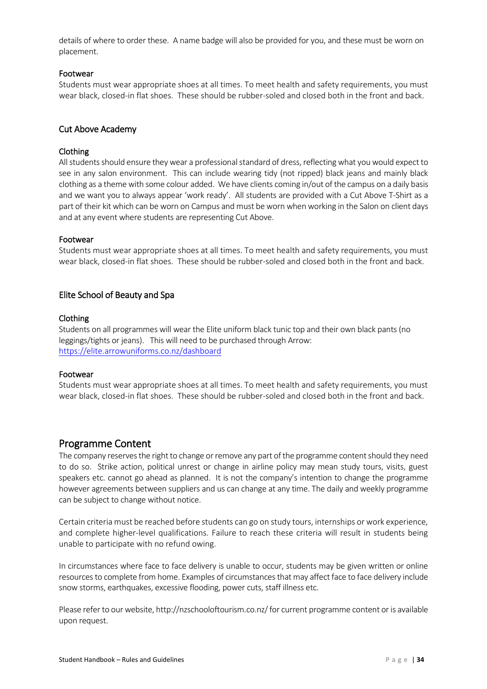details of where to order these. A name badge will also be provided for you, and these must be worn on placement.

#### Footwear

Students must wear appropriate shoes at all times. To meet health and safety requirements, you must wear black, closed-in flat shoes. These should be rubber-soled and closed both in the front and back.

# <span id="page-40-0"></span>Cut Above Academy

### Clothing

All students should ensure they wear a professional standard of dress, reflecting what you would expect to see in any salon environment. This can include wearing tidy (not ripped) black jeans and mainly black clothing as a theme with some colour added. We have clients coming in/out of the campus on a daily basis and we want you to always appear 'work ready'. All students are provided with a Cut Above T-Shirt as a part of their kit which can be worn on Campus and must be worn when working in the Salon on client days and at any event where students are representing Cut Above.

#### Footwear

Students must wear appropriate shoes at all times. To meet health and safety requirements, you must wear black, closed-in flat shoes. These should be rubber-soled and closed both in the front and back.

# <span id="page-40-1"></span>Elite School of Beauty and Spa

#### Clothing

Students on all programmes will wear the Elite uniform black tunic top and their own black pants (no leggings/tights or jeans). This will need to be purchased through Arrow: <https://elite.arrowuniforms.co.nz/dashboard>

#### Footwear

Students must wear appropriate shoes at all times. To meet health and safety requirements, you must wear black, closed-in flat shoes. These should be rubber-soled and closed both in the front and back.

# <span id="page-40-2"></span>Programme Content

The company reserves the right to change or remove any part of the programme content should they need to do so. Strike action, political unrest or change in airline policy may mean study tours, visits, guest speakers etc. cannot go ahead as planned. It is not the company's intention to change the programme however agreements between suppliers and us can change at any time. The daily and weekly programme can be subject to change without notice.

Certain criteria must be reached before students can go on study tours, internships or work experience, and complete higher-level qualifications. Failure to reach these criteria will result in students being unable to participate with no refund owing.

In circumstances where face to face delivery is unable to occur, students may be given written or online resources to complete from home. Examples of circumstances that may affect face to face delivery include snow storms, earthquakes, excessive flooding, power cuts, staff illness etc.

Please refer to our website, http://nzschooloftourism.co.nz/ for current programme content or is available upon request.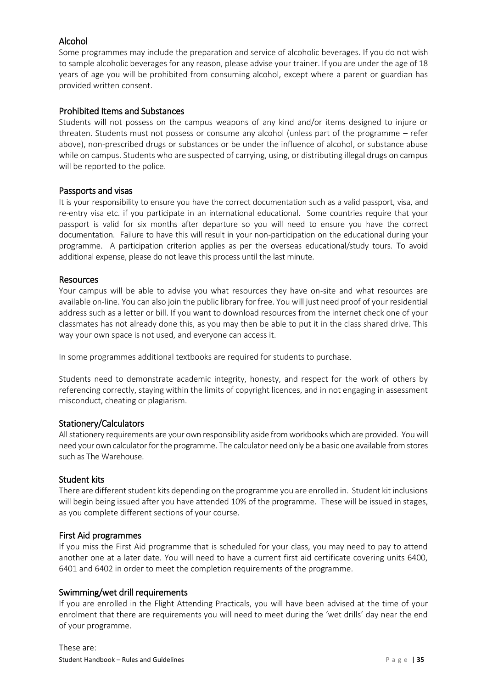# <span id="page-41-0"></span>Alcohol

Some programmes may include the preparation and service of alcoholic beverages. If you do not wish to sample alcoholic beverages for any reason, please advise your trainer. If you are under the age of 18 years of age you will be prohibited from consuming alcohol, except where a parent or guardian has provided written consent.

# <span id="page-41-1"></span>Prohibited Items and Substances

Students will not possess on the campus weapons of any kind and/or items designed to injure or threaten. Students must not possess or consume any alcohol (unless part of the programme – refer above), non-prescribed drugs or substances or be under the influence of alcohol, or substance abuse while on campus. Students who are suspected of carrying, using, or distributing illegal drugs on campus will be reported to the police.

# <span id="page-41-2"></span>Passports and visas

It is your responsibility to ensure you have the correct documentation such as a valid passport, visa, and re-entry visa etc. if you participate in an international educational. Some countries require that your passport is valid for six months after departure so you will need to ensure you have the correct documentation. Failure to have this will result in your non-participation on the educational during your programme. A participation criterion applies as per the overseas educational/study tours. To avoid additional expense, please do not leave this process until the last minute.

# <span id="page-41-3"></span>Resources

Your campus will be able to advise you what resources they have on-site and what resources are available on-line. You can also join the public library for free. You will just need proof of your residential address such as a letter or bill. If you want to download resources from the internet check one of your classmates has not already done this, as you may then be able to put it in the class shared drive. This way your own space is not used, and everyone can access it.

In some programmes additional textbooks are required for students to purchase.

Students need to demonstrate academic integrity, honesty, and respect for the work of others by referencing correctly, staying within the limits of copyright licences, and in not engaging in assessment misconduct, cheating or plagiarism.

# <span id="page-41-4"></span>Stationery/Calculators

All stationery requirements are your own responsibility aside from workbooks which are provided. You will need your own calculator for the programme. The calculator need only be a basic one available from stores such as The Warehouse.

# <span id="page-41-5"></span>Student kits

There are different student kits depending on the programme you are enrolled in. Student kit inclusions will begin being issued after you have attended 10% of the programme. These will be issued in stages, as you complete different sections of your course.

#### <span id="page-41-6"></span>First Aid programmes

If you miss the First Aid programme that is scheduled for your class, you may need to pay to attend another one at a later date. You will need to have a current first aid certificate covering units 6400, 6401 and 6402 in order to meet the completion requirements of the programme.

# <span id="page-41-7"></span>Swimming/wet drill requirements

If you are enrolled in the Flight Attending Practicals, you will have been advised at the time of your enrolment that there are requirements you will need to meet during the 'wet drills' day near the end of your programme.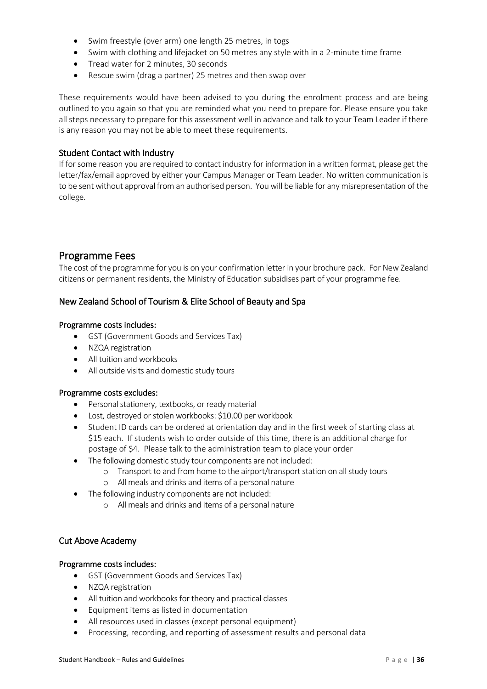- Swim freestyle (over arm) one length 25 metres, in togs
- Swim with clothing and lifejacket on 50 metres any style with in a 2-minute time frame
- Tread water for 2 minutes, 30 seconds
- Rescue swim (drag a partner) 25 metres and then swap over

These requirements would have been advised to you during the enrolment process and are being outlined to you again so that you are reminded what you need to prepare for. Please ensure you take all steps necessary to prepare for this assessment well in advance and talk to your Team Leader if there is any reason you may not be able to meet these requirements.

#### <span id="page-42-0"></span>Student Contact with Industry

If for some reason you are required to contact industry for information in a written format, please get the letter/fax/email approved by either your Campus Manager or Team Leader. No written communication is to be sent without approval from an authorised person. You will be liable for any misrepresentation of the college.

# <span id="page-42-1"></span>Programme Fees

The cost of the programme for you is on your confirmation letter in your brochure pack. For New Zealand citizens or permanent residents, the Ministry of Education subsidises part of your programme fee.

#### <span id="page-42-2"></span>New Zealand School of Tourism & Elite School of Beauty and Spa

#### Programme costs includes:

- GST (Government Goods and Services Tax)
- NZQA registration
- All tuition and workbooks
- All outside visits and domestic study tours

#### Programme costs excludes:

- Personal stationery, textbooks, or ready material
- Lost, destroyed or stolen workbooks: \$10.00 per workbook
- Student ID cards can be ordered at orientation day and in the first week of starting class at \$15 each. If students wish to order outside of this time, there is an additional charge for postage of \$4. Please talk to the administration team to place your order
- The following domestic study tour components are not included:
	- o Transport to and from home to the airport/transport station on all study tours
	- o All meals and drinks and items of a personal nature
- The following industry components are not included:
	- o All meals and drinks and items of a personal nature

# <span id="page-42-3"></span>Cut Above Academy

#### Programme costs includes:

- GST (Government Goods and Services Tax)
- NZQA registration
- All tuition and workbooks for theory and practical classes
- Equipment items as listed in documentation
- All resources used in classes (except personal equipment)
- Processing, recording, and reporting of assessment results and personal data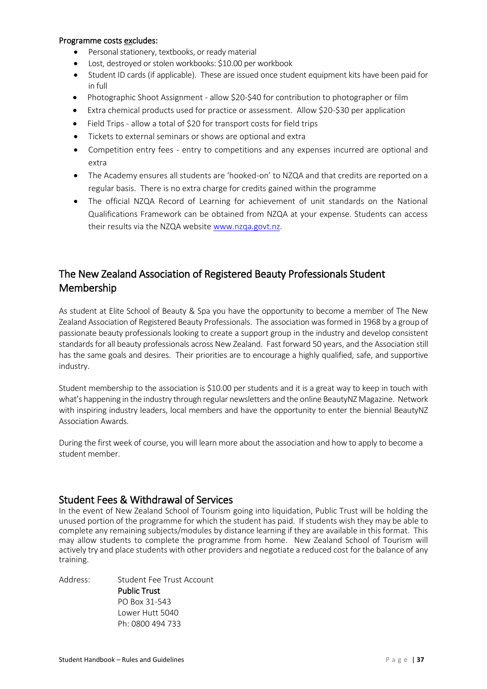#### Programme costs excludes:

- Personal stationery, textbooks, or ready material
- Lost, destroyed or stolen workbooks: \$10.00 per workbook
- Student ID cards (if applicable). These are issued once student equipment kits have been paid for in full
- Photographic Shoot Assignment allow \$20-\$40 for contribution to photographer or film
- Extra chemical products used for practice or assessment. Allow \$20-\$30 per application
- Field Trips allow a total of \$20 for transport costs for field trips
- Tickets to external seminars or shows are optional and extra
- Competition entry fees entry to competitions and any expenses incurred are optional and extra
- The Academy ensures all students are 'hooked-on' to NZQA and that credits are reported on a regular basis. There is no extra charge for credits gained within the programme
- The official NZQA Record of Learning for achievement of unit standards on the National Qualifications Framework can be obtained from NZQA at your expense. Students can access their results via the NZQA website [www.nzqa.govt.nz.](http://www.nzqa.govt.nz/)

# <span id="page-43-0"></span>The New Zealand Association of Registered Beauty Professionals Student Membership

As student at Elite School of Beauty & Spa you have the opportunity to become a member of The New Zealand Association of Registered Beauty Professionals. The association was formed in 1968 by a group of passionate beauty professionals looking to create a support group in the industry and develop consistent standards for all beauty professionals across New Zealand. Fast forward 50 years, and the Association still has the same goals and desires. Their priorities are to encourage a highly qualified, safe, and supportive industry.

Student membership to the association is \$10.00 per students and it is a great way to keep in touch with what's happening in the industry through regular newsletters and the online BeautyNZ Magazine. Network with inspiring industry leaders, local members and have the opportunity to enter the biennial BeautyNZ Association Awards.

During the first week of course, you will learn more about the association and how to apply to become a student member.

# <span id="page-43-1"></span>Student Fees & Withdrawal of Services

In the event of New Zealand School of Tourism going into liquidation, Public Trust will be holding the unused portion of the programme for which the student has paid. If students wish they may be able to complete any remaining subjects/modules by distance learning if they are available in this format. This may allow students to complete the programme from home. New Zealand School of Tourism will actively try and place students with other providers and negotiate a reduced cost for the balance of any training.

Address: Student Fee Trust Account Public Trust PO Box 31-543 Lower Hutt 5040 Ph: 0800 494 733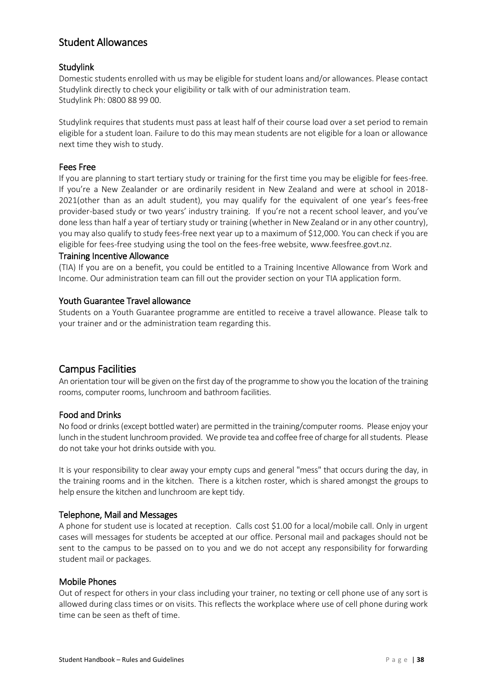# <span id="page-44-0"></span>Student Allowances

# <span id="page-44-1"></span>**Studylink**

Domestic students enrolled with us may be eligible for student loans and/or allowances. Please contact Studylink directly to check your eligibility or talk with of our administration team. Studylink Ph: 0800 88 99 00.

Studylink requires that students must pass at least half of their course load over a set period to remain eligible for a student loan. Failure to do this may mean students are not eligible for a loan or allowance next time they wish to study.

# <span id="page-44-2"></span>Fees Free

If you are planning to start tertiary study or training for the first time you may be eligible for fees-free. If you're a New Zealander or are ordinarily resident in New Zealand and were at school in 2018- 2021(other than as an adult student), you may qualify for the equivalent of one year's fees-free provider-based study or two years' industry training. If you're not a recent school leaver, and you've done less than half a year of tertiary study or training (whether in New Zealand or in any other country), you may also qualify to study fees-free next year up to a maximum of \$12,000. You can check if you are eligible for fees-free studying using the tool on the fees-free website, www.feesfree.govt.nz.

#### <span id="page-44-3"></span>Training Incentive Allowance

(TIA) If you are on a benefit, you could be entitled to a Training Incentive Allowance from Work and Income. Our administration team can fill out the provider section on your TIA application form.

#### <span id="page-44-4"></span>Youth Guarantee Travel allowance

Students on a Youth Guarantee programme are entitled to receive a travel allowance. Please talk to your trainer and or the administration team regarding this.

# <span id="page-44-5"></span>Campus Facilities

An orientation tour will be given on the first day of the programme to show you the location of the training rooms, computer rooms, lunchroom and bathroom facilities.

# <span id="page-44-6"></span>Food and Drinks

No food or drinks (except bottled water) are permitted in the training/computer rooms. Please enjoy your lunch in the student lunchroom provided. We provide tea and coffee free of charge for all students. Please do not take your hot drinks outside with you.

It is your responsibility to clear away your empty cups and general "mess" that occurs during the day, in the training rooms and in the kitchen. There is a kitchen roster, which is shared amongst the groups to help ensure the kitchen and lunchroom are kept tidy.

#### <span id="page-44-7"></span>Telephone, Mail and Messages

A phone for student use is located at reception. Calls cost \$1.00 for a local/mobile call. Only in urgent cases will messages for students be accepted at our office. Personal mail and packages should not be sent to the campus to be passed on to you and we do not accept any responsibility for forwarding student mail or packages.

#### <span id="page-44-8"></span>Mobile Phones

Out of respect for others in your class including your trainer, no texting or cell phone use of any sort is allowed during class times or on visits. This reflects the workplace where use of cell phone during work time can be seen as theft of time.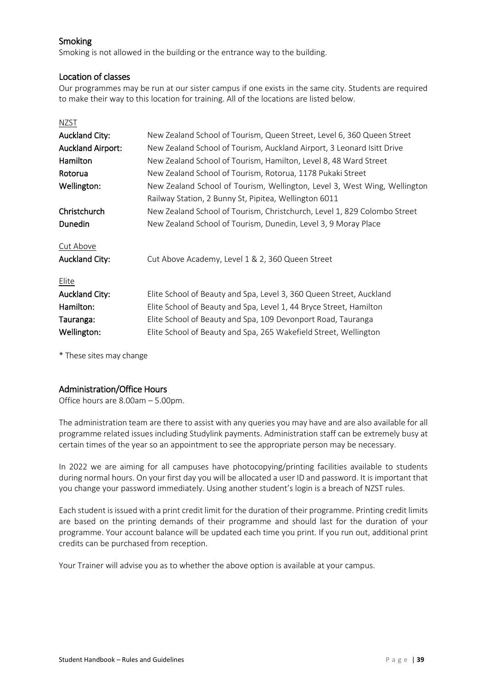# <span id="page-45-0"></span>Smoking

Smoking is not allowed in the building or the entrance way to the building.

# <span id="page-45-1"></span>Location of classes

Our programmes may be run at our sister campus if one exists in the same city. Students are required to make their way to this location for training. All of the locations are listed below.

| NZST                     |                                                                           |
|--------------------------|---------------------------------------------------------------------------|
| <b>Auckland City:</b>    | New Zealand School of Tourism, Queen Street, Level 6, 360 Queen Street    |
| <b>Auckland Airport:</b> | New Zealand School of Tourism, Auckland Airport, 3 Leonard Isitt Drive    |
| Hamilton                 | New Zealand School of Tourism, Hamilton, Level 8, 48 Ward Street          |
| Rotorua                  | New Zealand School of Tourism, Rotorua, 1178 Pukaki Street                |
| Wellington:              | New Zealand School of Tourism, Wellington, Level 3, West Wing, Wellington |
|                          | Railway Station, 2 Bunny St, Pipitea, Wellington 6011                     |
| Christchurch             | New Zealand School of Tourism, Christchurch, Level 1, 829 Colombo Street  |
| Dunedin                  | New Zealand School of Tourism, Dunedin, Level 3, 9 Moray Place            |
|                          |                                                                           |
| Cut Above                |                                                                           |
| <b>Auckland City:</b>    | Cut Above Academy, Level 1 & 2, 360 Queen Street                          |
| Elite                    |                                                                           |
| <b>Auckland City:</b>    | Elite School of Beauty and Spa, Level 3, 360 Queen Street, Auckland       |
| Hamilton:                | Elite School of Beauty and Spa, Level 1, 44 Bryce Street, Hamilton        |
| Tauranga:                | Elite School of Beauty and Spa, 109 Devonport Road, Tauranga              |
| Wellington:              | Elite School of Beauty and Spa, 265 Wakefield Street, Wellington          |

\* These sites may change

# <span id="page-45-2"></span>Administration/Office Hours

Office hours are 8.00am – 5.00pm.

The administration team are there to assist with any queries you may have and are also available for all programme related issues including Studylink payments. Administration staff can be extremely busy at certain times of the year so an appointment to see the appropriate person may be necessary.

In 2022 we are aiming for all campuses have photocopying/printing facilities available to students during normal hours. On your first day you will be allocated a user ID and password. It is important that you change your password immediately. Using another student's login is a breach of NZST rules.

Each student is issued with a print credit limit for the duration of their programme. Printing credit limits are based on the printing demands of their programme and should last for the duration of your programme. Your account balance will be updated each time you print. If you run out, additional print credits can be purchased from reception.

Your Trainer will advise you as to whether the above option is available at your campus.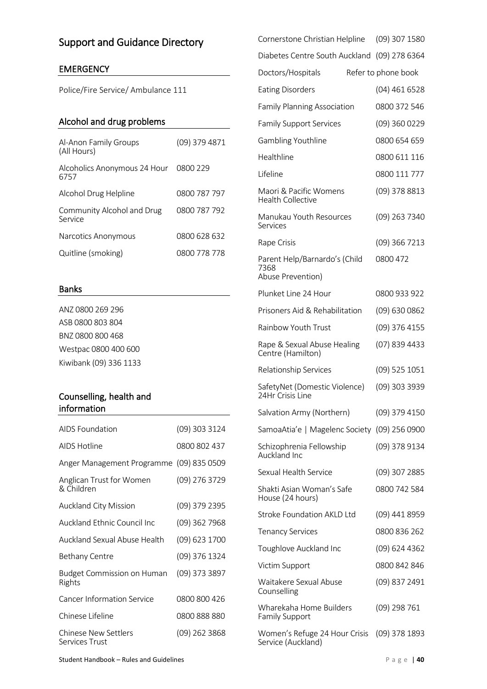# <span id="page-46-0"></span>Support and Guidance Directory

# EMERGENCY

Police/Fire Service/ Ambulance 111

# Alcohol and drug problems

| Al-Anon Family Groups<br>(All Hours)  | (09) 379 4871 |
|---------------------------------------|---------------|
| Alcoholics Anonymous 24 Hour<br>6757  | 0800 229      |
| Alcohol Drug Helpline                 | 0800 787 797  |
| Community Alcohol and Drug<br>Service | 0800 787 792  |
| Narcotics Anonymous                   | 0800 628 632  |
| Quitline (smoking)                    | 0800 778 778  |

### Banks

ANZ 0800 269 296 ASB 0800 803 804 BNZ 0800 800 468 Westpac 0800 400 600 Kiwibank (09) 336 1133

# Counselling, health and information

| AIDS Foundation                        | (09) 303 3124   |
|----------------------------------------|-----------------|
| AIDS Hotline                           | 0800 802 437    |
| Anger Management Programme             | $(09)$ 835 0509 |
| Anglican Trust for Women<br>& Children | (09) 276 3729   |
| <b>Auckland City Mission</b>           | (09) 379 2395   |
| Auckland Ethnic Council Inc            | (09) 362 7968   |
| Auckland Sexual Abuse Health           | (09) 623 1700   |
| Bethany Centre                         | (09) 376 1324   |
| Budget Commission on Human<br>Rights   | (09) 373 3897   |
| <b>Cancer Information Service</b>      | 0800 800 426    |
| Chinese Lifeline                       | 0800 888 880    |
| Chinese New Settlers<br>Services Trust | (09) 262 3868   |

| (09) 307 1580<br>Cornerstone Christian Helpline    |
|----------------------------------------------------|
| Diabetes Centre South Auckland (09) 278 6364       |
| Refer to phone book                                |
| (04) 461 6528                                      |
| 0800 372 546<br><b>Family Planning Association</b> |
| (09) 360 0229                                      |
| 0800 654 659                                       |
| 0800 611 116                                       |
| 0800 111 777                                       |
| (09) 378 8813                                      |
| Manukau Youth Resources<br>(09) 263 7340           |
| (09) 366 7213                                      |
| Parent Help/Barnardo's (Child<br>0800 472          |
| 0800 933 922                                       |
| Prisoners Aid & Rehabilitation<br>(09) 630 0862    |
| (09) 376 4155                                      |
| (07) 839 4433<br>Rape & Sexual Abuse Healing       |
| (09) 525 1051                                      |
| (09) 303 3939<br>SafetyNet (Domestic Violence)     |
| Salvation Army (Northern)<br>(09) 379 4150         |
| SamoaAtia'e   Magelenc Society (09) 256 0900       |
| (09) 378 9134                                      |
| (09) 307 2885                                      |
| 0800 742 584<br>Shakti Asian Woman's Safe          |
| <b>Stroke Foundation AKLD Ltd</b><br>(09) 441 8959 |
| 0800 836 262                                       |
| (09) 624 4362                                      |
| 0800 842 846                                       |
| (09) 837 2491                                      |
| Wharekaha Home Builders<br>(09) 298 761            |
| Women's Refuge 24 Hour Crisis<br>$(09)$ 378 1893   |
|                                                    |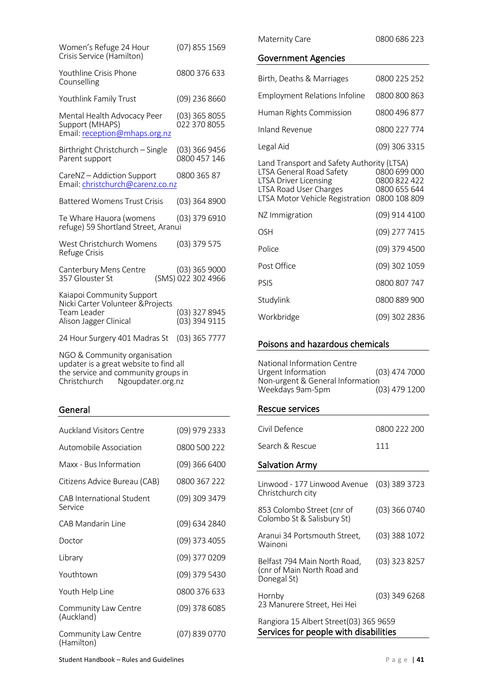| Women's Refuge 24 Hour<br>Crisis Service (Hamilton)                                                                                             | (07) 855 1569                       |
|-------------------------------------------------------------------------------------------------------------------------------------------------|-------------------------------------|
| Youthline Crisis Phone<br>Counselling                                                                                                           | 0800 376 633                        |
| Youthlink Family Trust                                                                                                                          | (09) 236 8660                       |
| Mental Health Advocacy Peer<br>Support (MHAPS)<br>Email: reception@mhaps.org.nz                                                                 | (03) 365 8055<br>022 370 8055       |
| Birthright Christchurch - Single<br>Parent support                                                                                              | (03) 366 9456<br>0800 457 146       |
| CareNZ - Addiction Support<br>Email: christchurch@carenz.co.nz                                                                                  | 0800 365 87                         |
| <b>Battered Womens Trust Crisis</b>                                                                                                             | (03) 364 8900                       |
| Te Whare Hauora (womens<br>refuge) 59 Shortland Street, Aranui                                                                                  | (03) 379 6910                       |
| West Christchurch Womens<br>Refuge Crisis                                                                                                       | (03) 379 575                        |
| Canterbury Mens Centre<br>357 Glouster St                                                                                                       | (03) 365 9000<br>(SMS) 022 302 4966 |
| Kaiapoi Community Support<br>Nicki Carter Volunteer & Projects<br>Team Leader<br>Alison Jagger Clinical                                         | (03) 327 8945<br>(03) 394 9115      |
| 24 Hour Surgery 401 Madras St                                                                                                                   | $(03)$ 365 7777                     |
| NGO & Community organisation<br>updater is a great website to find all<br>the service and community groups in<br>Christchurch Ngoupdater.org.nz |                                     |

# General

| <b>Auckland Visitors Centre</b>      | (09) 979 2333 |
|--------------------------------------|---------------|
| Automobile Association               | 0800 500 222  |
| Maxx - Bus Information               | (09) 366 6400 |
| Citizens Advice Bureau (CAB)         | 0800 367 222  |
| CAB International Student<br>Service | (09) 309 3479 |
| CAB Mandarin Line                    | (09) 634 2840 |
| Doctor                               | (09) 373 4055 |
| Library                              | (09) 377 0209 |
| Youthtown                            | (09) 379 5430 |
| Youth Help Line                      | 0800 376 633  |
| Community Law Centre<br>(Auckland)   | (09) 378 6085 |
| Community Law Centre<br>(Hamilton)   | (07) 839 0770 |

Maternity Care 0800 686 223

# Government Agencies

| Birth, Deaths & Marriages                                                                                                                                           | 0800 225 252                                                 |
|---------------------------------------------------------------------------------------------------------------------------------------------------------------------|--------------------------------------------------------------|
| <b>Employment Relations Infoline</b>                                                                                                                                | 0800 800 863                                                 |
| Human Rights Commission                                                                                                                                             | 0800 496 877                                                 |
| Inland Revenue                                                                                                                                                      | 0800 227 774                                                 |
| Legal Aid                                                                                                                                                           | (09) 306 3315                                                |
| Land Transport and Safety Authority (LTSA)<br>LTSA General Road Safety<br><b>LTSA Driver Licensing</b><br>LTSA Road User Charges<br>LTSA Motor Vehicle Registration | 0800 699 000<br>0800 822 422<br>0800 655 644<br>0800 108 809 |
| NZ Immigration                                                                                                                                                      | (09) 914 4100                                                |
| OSH                                                                                                                                                                 | (09) 277 7415                                                |
| Police                                                                                                                                                              | (09) 379 4500                                                |
| Post Office                                                                                                                                                         | (09) 302 1059                                                |
| PSIS                                                                                                                                                                | 0800 807 747                                                 |
| Studylink                                                                                                                                                           | 0800 889 900                                                 |
| Workbridge                                                                                                                                                          | (09) 302 2836                                                |

# Poisons and hazardous chemicals

| National Information Centre      |                 |
|----------------------------------|-----------------|
| Urgent Information               | $(03)$ 474 7000 |
| Non-urgent & General Information |                 |
| Weekdays 9am-5pm                 | $(03)$ 479 1200 |

# Rescue services

| Civil Defence                                                              | 0800 222 200    |
|----------------------------------------------------------------------------|-----------------|
| Search & Rescue                                                            | 111             |
| <b>Salvation Army</b>                                                      |                 |
| Linwood - 177 Linwood Avenue<br>Christchurch city                          | (03) 389 3723   |
| 853 Colombo Street (cnr of<br>Colombo St & Salisbury St)                   | (03) 366 0740   |
| Aranui 34 Portsmouth Street,<br>Wainoni                                    | (03) 388 1072   |
| Belfast 794 Main North Road,<br>(cnr of Main North Road and<br>Donegal St) | $(03)$ 323 8257 |
| Hornby<br>23 Manurere Street, Hei Hei                                      | (03) 349 6268   |
| Rangiora 15 Albert Street(03) 365 9659                                     |                 |

Services for people with disabilities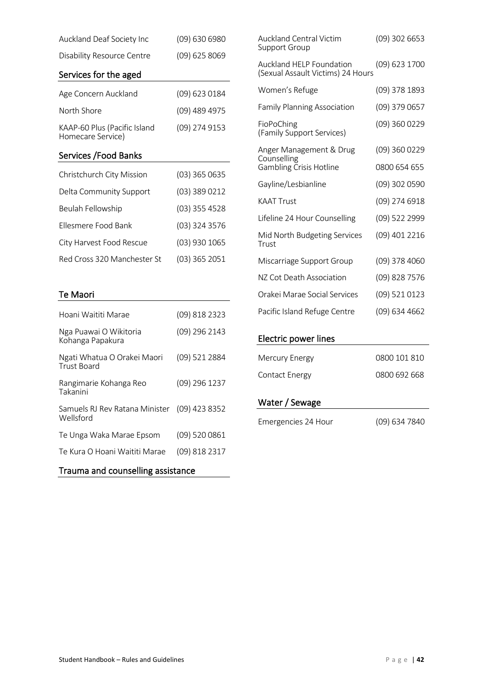| Auckland Deaf Society Inc                         | (09) 630 6980   |
|---------------------------------------------------|-----------------|
| <b>Disability Resource Centre</b>                 | (09) 625 8069   |
| Services for the aged                             |                 |
| Age Concern Auckland                              | (09) 623 0184   |
| North Shore                                       | (09) 489 4975   |
| KAAP-60 Plus (Pacific Island<br>Homecare Service) | (09) 274 9153   |
| Services / Food Banks                             |                 |
| Christchurch City Mission                         | $(03)$ 365 0635 |
| Delta Community Support                           | (03) 389 0212   |
| Beulah Fellowship                                 | (03) 355 4528   |
| Ellesmere Food Bank                               | (03) 324 3576   |
| City Harvest Food Rescue                          | (03) 930 1065   |
| Red Cross 320 Manchester St                       | (03) 365 2051   |
|                                                   |                 |
| <b>Te Maori</b>                                   |                 |
| Hoani Waititi Marae                               | (09) 818 2323   |
| Nga Puawai O Wikitoria<br>Kohanga Papakura        | (09) 296 2143   |
| Ngati Whatua O Orakei Maori<br><b>Trust Board</b> | (09) 521 2884   |
| Rangimarie Kohanga Reo<br>Takanini                | (09) 296 1237   |
| Samuels RJ Rev Ratana Minister<br>Wellsford       | (09) 423 8352   |

| <b>Auckland Central Victim</b><br>Support Group               | $(09)$ 302 6653 |
|---------------------------------------------------------------|-----------------|
| Auckland HELP Foundation<br>(Sexual Assault Victims) 24 Hours | (09) 623 1700   |
| Women's Refuge                                                | (09) 378 1893   |
| <b>Family Planning Association</b>                            | (09) 379 0657   |
| FioPoChing<br>(Family Support Services)                       | (09) 360 0229   |
| Anger Management & Drug<br>Counselling                        | (09) 360 0229   |
| <b>Gambling Crisis Hotline</b>                                | 0800 654 655    |
| Gayline/Lesbianline                                           | (09) 302 0590   |
| <b>KAAT Trust</b>                                             | (09) 274 6918   |
| Lifeline 24 Hour Counselling                                  | (09) 522 2999   |
| Mid North Budgeting Services<br>Trust                         | (09) 401 2216   |
| Miscarriage Support Group                                     | $(09)$ 378 4060 |
| NZ Cot Death Association                                      | (09) 828 7576   |
| Orakei Marae Social Services                                  | (09) 521 0123   |
| Pacific Island Refuge Centre                                  | (09) 634 4662   |
|                                                               |                 |

# Electric power lines

| <b>Mercury Energy</b> | 0800 101 810 |
|-----------------------|--------------|
| <b>Contact Energy</b> | 0800 692 668 |

# Water / Sewage

| Trauma and counselling assistance |
|-----------------------------------|
|                                   |

Te Unga Waka Marae Epsom (09) 520 0861

Te Kura O Hoani Waititi Marae (09) 818 2317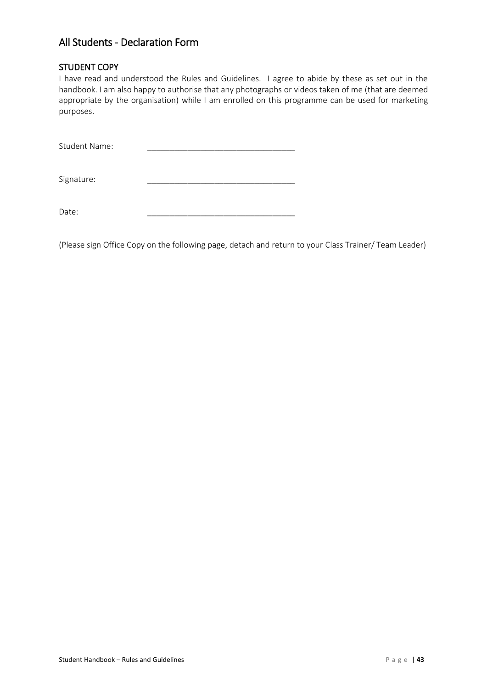# <span id="page-49-0"></span>All Students - Declaration Form

# <span id="page-49-1"></span>STUDENT COPY

I have read and understood the Rules and Guidelines. I agree to abide by these as set out in the handbook. I am also happy to authorise that any photographs or videos taken of me (that are deemed appropriate by the organisation) while I am enrolled on this programme can be used for marketing purposes.

Student Name:

Signature:

Date: \_\_\_\_\_\_\_\_\_\_\_\_\_\_\_\_\_\_\_\_\_\_\_\_\_\_\_\_\_\_\_\_\_

(Please sign Office Copy on the following page, detach and return to your Class Trainer/ Team Leader)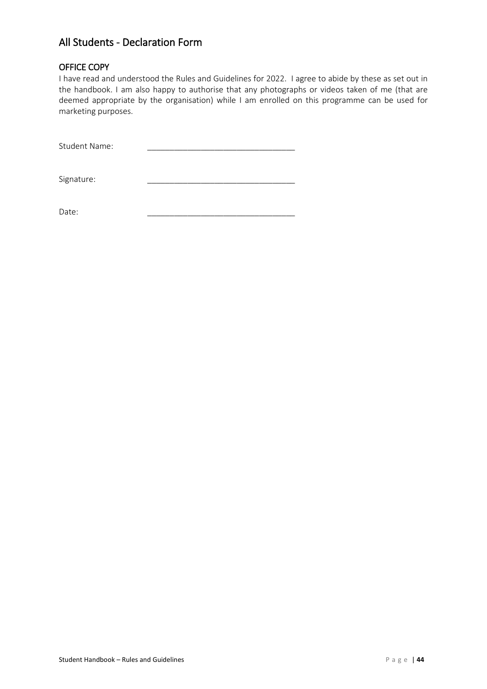# All Students - Declaration Form

# <span id="page-50-0"></span>OFFICE COPY

I have read and understood the Rules and Guidelines for 2022. I agree to abide by these as set out in the handbook. I am also happy to authorise that any photographs or videos taken of me (that are deemed appropriate by the organisation) while I am enrolled on this programme can be used for marketing purposes.

Student Name:

Signature:

Date: \_\_\_\_\_\_\_\_\_\_\_\_\_\_\_\_\_\_\_\_\_\_\_\_\_\_\_\_\_\_\_\_\_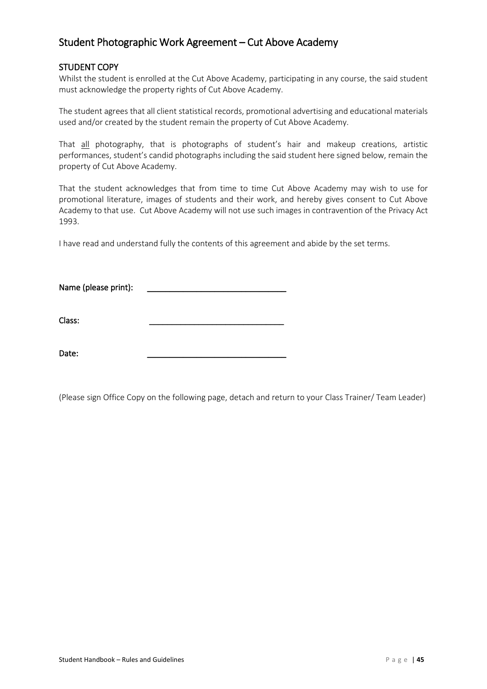# <span id="page-51-0"></span>Student Photographic Work Agreement – Cut Above Academy

### <span id="page-51-1"></span>STUDENT COPY

Whilst the student is enrolled at the Cut Above Academy, participating in any course, the said student must acknowledge the property rights of Cut Above Academy.

The student agrees that all client statistical records, promotional advertising and educational materials used and/or created by the student remain the property of Cut Above Academy.

That all photography, that is photographs of student's hair and makeup creations, artistic performances, student's candid photographs including the said student here signed below, remain the property of Cut Above Academy.

That the student acknowledges that from time to time Cut Above Academy may wish to use for promotional literature, images of students and their work, and hereby gives consent to Cut Above Academy to that use. Cut Above Academy will not use such images in contravention of the Privacy Act 1993.

I have read and understand fully the contents of this agreement and abide by the set terms.

Name (please print):

Class: \_\_\_\_\_\_\_\_\_\_\_\_\_\_\_\_\_\_\_\_\_\_\_\_\_\_\_\_\_\_

Date: \_\_\_\_\_\_\_\_\_\_\_\_\_\_\_\_\_\_\_\_\_\_\_\_\_\_\_\_\_\_\_

(Please sign Office Copy on the following page, detach and return to your Class Trainer/ Team Leader)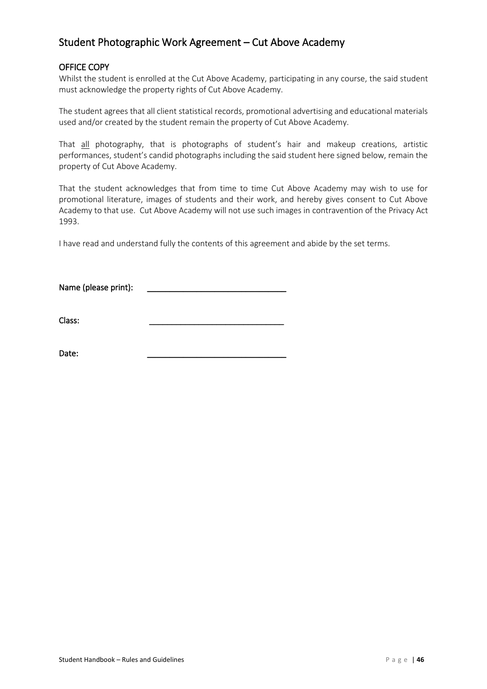# Student Photographic Work Agreement – Cut Above Academy

# <span id="page-52-0"></span>OFFICE COPY

Whilst the student is enrolled at the Cut Above Academy, participating in any course, the said student must acknowledge the property rights of Cut Above Academy.

The student agrees that all client statistical records, promotional advertising and educational materials used and/or created by the student remain the property of Cut Above Academy.

That all photography, that is photographs of student's hair and makeup creations, artistic performances, student's candid photographs including the said student here signed below, remain the property of Cut Above Academy.

That the student acknowledges that from time to time Cut Above Academy may wish to use for promotional literature, images of students and their work, and hereby gives consent to Cut Above Academy to that use. Cut Above Academy will not use such images in contravention of the Privacy Act 1993.

I have read and understand fully the contents of this agreement and abide by the set terms.

Name (please print):

Class: \_\_\_\_\_\_\_\_\_\_\_\_\_\_\_\_\_\_\_\_\_\_\_\_\_\_\_\_\_\_

Date: \_\_\_\_\_\_\_\_\_\_\_\_\_\_\_\_\_\_\_\_\_\_\_\_\_\_\_\_\_\_\_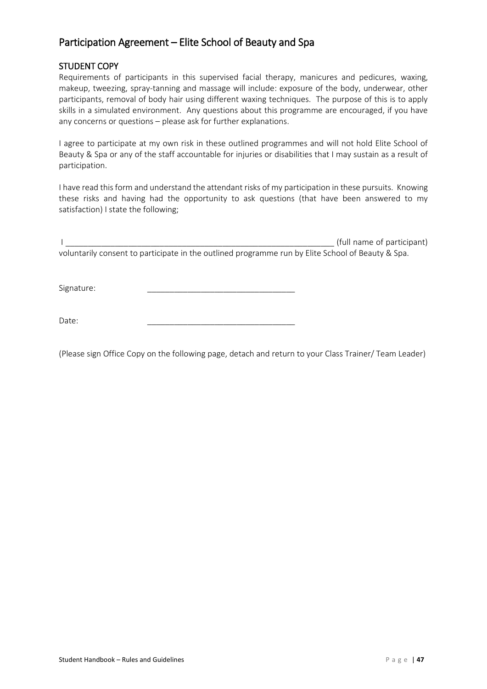# <span id="page-53-0"></span>Participation Agreement – Elite School of Beauty and Spa

# <span id="page-53-1"></span>STUDENT COPY

Requirements of participants in this supervised facial therapy, manicures and pedicures, waxing, makeup, tweezing, spray-tanning and massage will include: exposure of the body, underwear, other participants, removal of body hair using different waxing techniques. The purpose of this is to apply skills in a simulated environment. Any questions about this programme are encouraged, if you have any concerns or questions – please ask for further explanations.

I agree to participate at my own risk in these outlined programmes and will not hold Elite School of Beauty & Spa or any of the staff accountable for injuries or disabilities that I may sustain as a result of participation.

I have read this form and understand the attendant risks of my participation in these pursuits. Knowing these risks and having had the opportunity to ask questions (that have been answered to my satisfaction) I state the following;

I \_\_\_\_\_\_\_\_\_\_\_\_\_\_\_\_\_\_\_\_\_\_\_\_\_\_\_\_\_\_\_\_\_\_\_\_\_\_\_\_\_\_\_\_\_\_\_\_\_\_\_\_\_\_\_\_\_\_\_\_ (full name of participant) voluntarily consent to participate in the outlined programme run by Elite School of Beauty & Spa.

Signature:

Date: \_\_\_\_\_\_\_\_\_\_\_\_\_\_\_\_\_\_\_\_\_\_\_\_\_\_\_\_\_\_\_\_\_

(Please sign Office Copy on the following page, detach and return to your Class Trainer/ Team Leader)